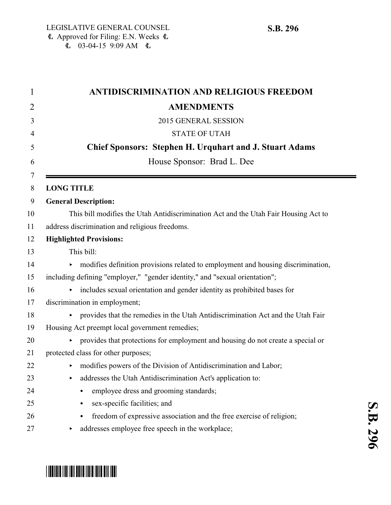\* SB0206 FOR THE BOARD OF THE BUILDING OF THE SAME OF THE SAME OF THE SAME OF THE SAME OF THE SAME OF THE SAME

| 1              | <b>ANTIDISCRIMINATION AND RELIGIOUS FREEDOM</b>                                       |
|----------------|---------------------------------------------------------------------------------------|
| $\overline{2}$ | <b>AMENDMENTS</b>                                                                     |
| 3              | 2015 GENERAL SESSION                                                                  |
| 4              | <b>STATE OF UTAH</b>                                                                  |
| 5              | <b>Chief Sponsors: Stephen H. Urquhart and J. Stuart Adams</b>                        |
| 6              | House Sponsor: Brad L. Dee                                                            |
| 7              |                                                                                       |
| 8              | <b>LONG TITLE</b>                                                                     |
| 9              | <b>General Description:</b>                                                           |
| 10             | This bill modifies the Utah Antidiscrimination Act and the Utah Fair Housing Act to   |
| 11             | address discrimination and religious freedoms.                                        |
| 12             | <b>Highlighted Provisions:</b>                                                        |
| 13             | This bill:                                                                            |
| 14             | modifies definition provisions related to employment and housing discrimination,<br>▶ |
| 15             | including defining "employer," "gender identity," and "sexual orientation";           |
| 16             | includes sexual orientation and gender identity as prohibited bases for               |
| 17             | discrimination in employment;                                                         |
| 18             | provides that the remedies in the Utah Antidiscrimination Act and the Utah Fair<br>Þ. |
| 19             | Housing Act preempt local government remedies;                                        |
| 20             | provides that protections for employment and housing do not create a special or       |
| 21             | protected class for other purposes;                                                   |
| 22             | modifies powers of the Division of Antidiscrimination and Labor;<br>▶                 |
| 23             | addresses the Utah Antidiscrimination Act's application to:<br>▶                      |
| 24             | employee dress and grooming standards;                                                |
| 25             | sex-specific facilities; and<br>٠                                                     |
| 26             | freedom of expressive association and the free exercise of religion;                  |
| 27             | addresses employee free speech in the workplace;<br>▶                                 |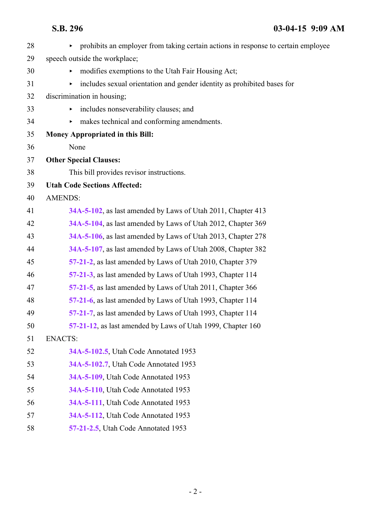| 28 | prohibits an employer from taking certain actions in response to certain employee |
|----|-----------------------------------------------------------------------------------|
| 29 | speech outside the workplace;                                                     |
| 30 | modifies exemptions to the Utah Fair Housing Act;<br>▶                            |
| 31 | includes sexual orientation and gender identity as prohibited bases for<br>▶      |
| 32 | discrimination in housing;                                                        |
| 33 | includes nonseverability clauses; and<br>Þ.                                       |
| 34 | makes technical and conforming amendments.<br>Þ.                                  |
| 35 | <b>Money Appropriated in this Bill:</b>                                           |
| 36 | None                                                                              |
| 37 | <b>Other Special Clauses:</b>                                                     |
| 38 | This bill provides revisor instructions.                                          |
| 39 | <b>Utah Code Sections Affected:</b>                                               |
| 40 | <b>AMENDS:</b>                                                                    |
| 41 | 34A-5-102, as last amended by Laws of Utah 2011, Chapter 413                      |
| 42 | 34A-5-104, as last amended by Laws of Utah 2012, Chapter 369                      |
| 43 | 34A-5-106, as last amended by Laws of Utah 2013, Chapter 278                      |
| 44 | 34A-5-107, as last amended by Laws of Utah 2008, Chapter 382                      |
| 45 | 57-21-2, as last amended by Laws of Utah 2010, Chapter 379                        |
| 46 | 57-21-3, as last amended by Laws of Utah 1993, Chapter 114                        |
| 47 | 57-21-5, as last amended by Laws of Utah 2011, Chapter 366                        |
| 48 | 57-21-6, as last amended by Laws of Utah 1993, Chapter 114                        |
| 49 | 57-21-7, as last amended by Laws of Utah 1993, Chapter 114                        |
| 50 | 57-21-12, as last amended by Laws of Utah 1999, Chapter 160                       |
| 51 | <b>ENACTS:</b>                                                                    |
| 52 | 34A-5-102.5, Utah Code Annotated 1953                                             |
| 53 | 34A-5-102.7, Utah Code Annotated 1953                                             |
| 54 | 34A-5-109, Utah Code Annotated 1953                                               |
| 55 | 34A-5-110, Utah Code Annotated 1953                                               |
| 56 | 34A-5-111, Utah Code Annotated 1953                                               |
| 57 | 34A-5-112, Utah Code Annotated 1953                                               |
| 58 | 57-21-2.5, Utah Code Annotated 1953                                               |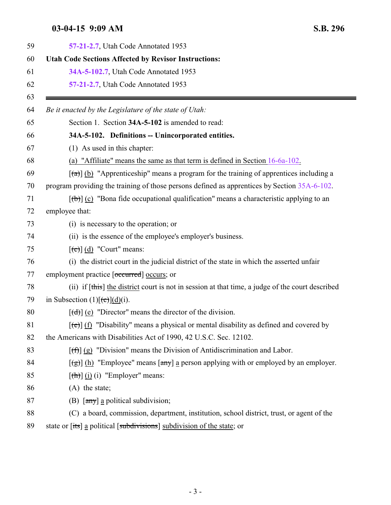<span id="page-2-0"></span>

| 57-21-2.7, Utah Code Annotated 1953                                                                                             |
|---------------------------------------------------------------------------------------------------------------------------------|
| <b>Utah Code Sections Affected by Revisor Instructions:</b>                                                                     |
| 34A-5-102.7, Utah Code Annotated 1953                                                                                           |
| 57-21-2.7, Utah Code Annotated 1953                                                                                             |
| Be it enacted by the Legislature of the state of Utah:                                                                          |
| Section 1. Section 34A-5-102 is amended to read:                                                                                |
| 34A-5-102. Definitions -- Unincorporated entities.                                                                              |
| $(1)$ As used in this chapter:                                                                                                  |
| (a) "Affiliate" means the same as that term is defined in Section $16-6a-102$ .                                                 |
| $\left[\frac{1}{2}\right]$ (b) "Apprenticeship" means a program for the training of apprentices including a                     |
| program providing the training of those persons defined as apprentices by Section 35A-6-102.                                    |
| $[\text{(+)}]$ (c) "Bona fide occupational qualification" means a characteristic applying to an                                 |
| employee that:                                                                                                                  |
| (i) is necessary to the operation; or                                                                                           |
| (ii) is the essence of the employee's employer's business.                                                                      |
| $[\text{e}(\text{e})]$ (d) "Court" means:                                                                                       |
| (i) the district court in the judicial district of the state in which the asserted unfair                                       |
| employment practice [occurred] occurs; or                                                                                       |
| (ii) if $[\theta$ this the district court is not in session at that time, a judge of the court described                        |
| in Subsection $(1)[(e)](d)(i)$ .                                                                                                |
| $[\text{(\text{d})}]$ (e) "Director" means the director of the division.                                                        |
| $[\text{et}]$ (f) "Disability" means a physical or mental disability as defined and covered by                                  |
| the Americans with Disabilities Act of 1990, 42 U.S.C. Sec. 12102.                                                              |
| $[f(f)](g)$ "Division" means the Division of Antidiscrimination and Labor.                                                      |
| $\left[\frac{1}{2}\right]$ (h) "Employee" means $\left[\frac{any}{n}\right]$ a person applying with or employed by an employer. |
| $[\frac{h}{\hbar}]$ (i) (i) "Employer" means:                                                                                   |
| $(A)$ the state;                                                                                                                |
| (B) $\lceil \frac{any}{n} \rceil$ a political subdivision;                                                                      |
| (C) a board, commission, department, institution, school district, trust, or agent of the                                       |
| state or [its] a political [subdivisions] subdivision of the state; or                                                          |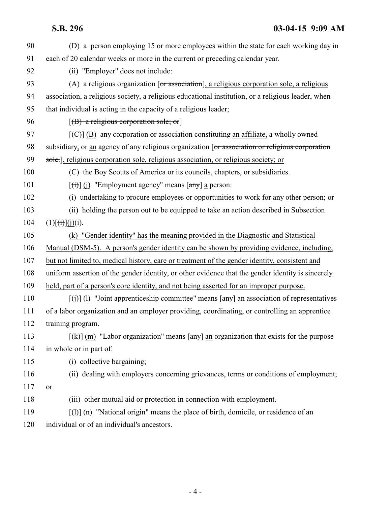| 90  | (D) a person employing 15 or more employees within the state for each working day in                                                             |
|-----|--------------------------------------------------------------------------------------------------------------------------------------------------|
| 91  | each of 20 calendar weeks or more in the current or preceding calendar year.                                                                     |
| 92  | (ii) "Employer" does not include:                                                                                                                |
| 93  | (A) a religious organization $\lceil$ or association], a religious corporation sole, a religious                                                 |
| 94  | association, a religious society, a religious educational institution, or a religious leader, when                                               |
| 95  | that individual is acting in the capacity of a religious leader;                                                                                 |
| 96  | $[({\rm B})$ a religious corporation sole; or                                                                                                    |
| 97  | $[\text{(\textcircled{f})}]$ (B) any corporation or association constituting an affiliate, a wholly owned                                        |
| 98  | subsidiary, or an agency of any religious organization [or association or religious corporation                                                  |
| 99  | sole.], religious corporation sole, religious association, or religious society; or                                                              |
| 100 | (C) the Boy Scouts of America or its councils, chapters, or subsidiaries.                                                                        |
| 101 | $\left[\overrightarrow{(t)}\right]$ (j) "Employment agency" means $\left[\overrightarrow{any}\right]$ a person:                                  |
| 102 | (i) undertaking to procure employees or opportunities to work for any other person; or                                                           |
| 103 | (ii) holding the person out to be equipped to take an action described in Subsection                                                             |
| 104 | $(1)[\overrightarrow{(t)}](j)(i).$                                                                                                               |
| 105 | (k) "Gender identity" has the meaning provided in the Diagnostic and Statistical                                                                 |
| 106 | Manual (DSM-5). A person's gender identity can be shown by providing evidence, including,                                                        |
| 107 | but not limited to, medical history, care or treatment of the gender identity, consistent and                                                    |
| 108 | uniform assertion of the gender identity, or other evidence that the gender identity is sincerely                                                |
| 109 | held, part of a person's core identity, and not being asserted for an improper purpose.                                                          |
| 110 | $\left[\left(\frac{1}{1}\right)\right]$ (1) "Joint apprenticeship committee" means $\left[\frac{1}{2}m\right]$ an association of representatives |
| 111 | of a labor organization and an employer providing, coordinating, or controlling an apprentice                                                    |
| 112 | training program.                                                                                                                                |
| 113 | $[\frac{f(k)}{m}]$ "Labor organization" means $[\frac{amy}{m}]$ an organization that exists for the purpose                                      |
| 114 | in whole or in part of:                                                                                                                          |
| 115 | (i) collective bargaining;                                                                                                                       |
| 116 | (ii) dealing with employers concerning grievances, terms or conditions of employment;                                                            |
| 117 | or                                                                                                                                               |
| 118 | (iii) other mutual aid or protection in connection with employment.                                                                              |
| 119 | $[\text{H}](n)$ "National origin" means the place of birth, domicile, or residence of an                                                         |
| 120 | individual or of an individual's ancestors.                                                                                                      |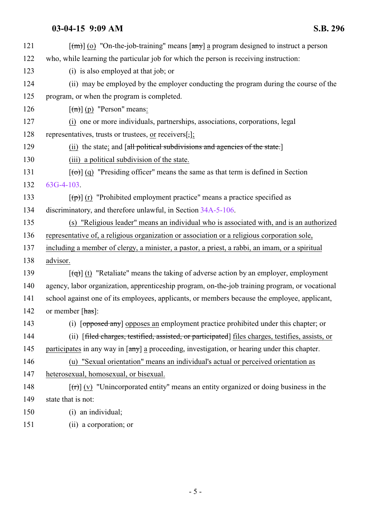| 121 | $[\text{m}]\text{ (o)}$ "On-the-job-training" means $[\text{any}]$ a program designed to instruct a person            |
|-----|-----------------------------------------------------------------------------------------------------------------------|
| 122 | who, while learning the particular job for which the person is receiving instruction:                                 |
| 123 | (i) is also employed at that job; or                                                                                  |
| 124 | (ii) may be employed by the employer conducting the program during the course of the                                  |
| 125 | program, or when the program is completed.                                                                            |
| 126 | $\lceil (m) \rceil$ (p) "Person" means:                                                                               |
| 127 | (i) one or more individuals, partnerships, associations, corporations, legal                                          |
| 128 | representatives, trusts or trustees, or receivers[,];                                                                 |
| 129 | (ii) the state; and [all political subdivisions and agencies of the state.]                                           |
| 130 | (iii) a political subdivision of the state.                                                                           |
| 131 | $[\phi]$ (q) "Presiding officer" means the same as that term is defined in Section                                    |
| 132 | $63G-4-103$ .                                                                                                         |
| 133 | $\left[\left(\frac{\theta}{\theta}\right)\right]$ (r) "Prohibited employment practice" means a practice specified as  |
| 134 | discriminatory, and therefore unlawful, in Section 34A-5-106.                                                         |
| 135 | (s) "Religious leader" means an individual who is associated with, and is an authorized                               |
| 136 | representative of, a religious organization or association or a religious corporation sole,                           |
| 137 | including a member of clergy, a minister, a pastor, a priest, a rabbi, an imam, or a spiritual                        |
| 138 | advisor.                                                                                                              |
| 139 | $\left[\left(\frac{1}{1}\right)\right]$ (t) "Retaliate" means the taking of adverse action by an employer, employment |
| 140 | agency, labor organization, apprenticeship program, on-the-job training program, or vocational                        |
| 141 | school against one of its employees, applicants, or members because the employee, applicant,                          |
| 142 | or member [has]:                                                                                                      |
| 143 | (i) [opposed any] opposes an employment practice prohibited under this chapter; or                                    |
| 144 | (ii) [filed charges, testified, assisted, or participated] files charges, testifies, assists, or                      |
| 145 | participates in any way in [any] a proceeding, investigation, or hearing under this chapter.                          |
| 146 | (u) "Sexual orientation" means an individual's actual or perceived orientation as                                     |
| 147 | heterosexual, homosexual, or bisexual.                                                                                |
| 148 | $\left[\frac{f(t)}{f(t)}\right]$ (v) "Unincorporated entity" means an entity organized or doing business in the       |
| 149 | state that is not:                                                                                                    |
| 150 | (i) an individual;                                                                                                    |
| 151 | (ii) a corporation; or                                                                                                |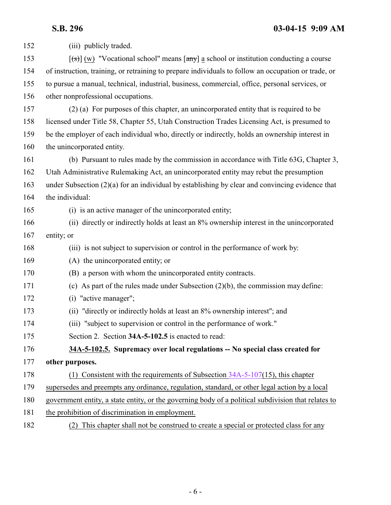<span id="page-5-0"></span>

| 152 | (iii) publicly traded.                                                                                  |
|-----|---------------------------------------------------------------------------------------------------------|
| 153 | $[\text{fs}]]$ (w) "Vocational school" means $[\text{any}]$ a school or institution conducting a course |
| 154 | of instruction, training, or retraining to prepare individuals to follow an occupation or trade, or     |
| 155 | to pursue a manual, technical, industrial, business, commercial, office, personal services, or          |
| 156 | other nonprofessional occupations.                                                                      |
| 157 | (2) (a) For purposes of this chapter, an unincorporated entity that is required to be                   |
| 158 | licensed under Title 58, Chapter 55, Utah Construction Trades Licensing Act, is presumed to             |
| 159 | be the employer of each individual who, directly or indirectly, holds an ownership interest in          |
| 160 | the unincorporated entity.                                                                              |
| 161 | (b) Pursuant to rules made by the commission in accordance with Title 63G, Chapter 3,                   |
| 162 | Utah Administrative Rulemaking Act, an unincorporated entity may rebut the presumption                  |
| 163 | under Subsection $(2)(a)$ for an individual by establishing by clear and convincing evidence that       |
| 164 | the individual:                                                                                         |
| 165 | (i) is an active manager of the unincorporated entity;                                                  |
| 166 | (ii) directly or indirectly holds at least an 8% ownership interest in the unincorporated               |
| 167 | entity; or                                                                                              |
| 168 | (iii) is not subject to supervision or control in the performance of work by:                           |
| 169 | (A) the unincorporated entity; or                                                                       |
| 170 | (B) a person with whom the unincorporated entity contracts.                                             |
| 171 | (c) As part of the rules made under Subsection $(2)(b)$ , the commission may define:                    |
| 172 | (i) "active manager";                                                                                   |
| 173 | (ii) "directly or indirectly holds at least an 8% ownership interest"; and                              |
| 174 | (iii) "subject to supervision or control in the performance of work."                                   |
| 175 | Section 2. Section 34A-5-102.5 is enacted to read:                                                      |
| 176 | 34A-5-102.5. Supremacy over local regulations -- No special class created for                           |
| 177 | other purposes.                                                                                         |
| 178 | (1) Consistent with the requirements of Subsection $34A-5-107(15)$ , this chapter                       |
| 179 | supersedes and preempts any ordinance, regulation, standard, or other legal action by a local           |
| 180 | government entity, a state entity, or the governing body of a political subdivision that relates to     |
| 181 | the prohibition of discrimination in employment.                                                        |
| 182 | This chapter shall not be construed to create a special or protected class for any<br>(2)               |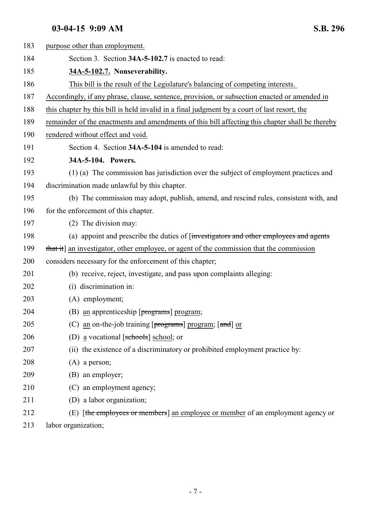<span id="page-6-1"></span><span id="page-6-0"></span>

| 183 | purpose other than employment.                                                                  |
|-----|-------------------------------------------------------------------------------------------------|
| 184 | Section 3. Section 34A-5-102.7 is enacted to read:                                              |
| 185 | 34A-5-102.7. Nonseverability.                                                                   |
| 186 | This bill is the result of the Legislature's balancing of competing interests.                  |
| 187 | Accordingly, if any phrase, clause, sentence, provision, or subsection enacted or amended in    |
| 188 | this chapter by this bill is held invalid in a final judgment by a court of last resort, the    |
| 189 | remainder of the enactments and amendments of this bill affecting this chapter shall be thereby |
| 190 | rendered without effect and void.                                                               |
| 191 | Section 4. Section 34A-5-104 is amended to read:                                                |
| 192 | 34A-5-104. Powers.                                                                              |
| 193 | (1) (a) The commission has jurisdiction over the subject of employment practices and            |
| 194 | discrimination made unlawful by this chapter.                                                   |
| 195 | (b) The commission may adopt, publish, amend, and rescind rules, consistent with, and           |
| 196 | for the enforcement of this chapter.                                                            |
| 197 | (2) The division may:                                                                           |
| 198 | (a) appoint and prescribe the duties of finvestigators and other employees and agents           |
| 199 | that it] an investigator, other employee, or agent of the commission that the commission        |
| 200 | considers necessary for the enforcement of this chapter;                                        |
| 201 | (b) receive, reject, investigate, and pass upon complaints alleging:                            |
| 202 | (i) discrimination in:                                                                          |
| 203 | (A) employment;                                                                                 |
| 204 | (B) an apprenticeship $[progressans]$ program;                                                  |
| 205 | (C) an on-the-job training $[progressions]$ program; $[and]$ or                                 |
| 206 | (D) a vocational [schools] school; or                                                           |
| 207 | (ii) the existence of a discriminatory or prohibited employment practice by:                    |
| 208 | $(A)$ a person;                                                                                 |
| 209 | (B) an employer;                                                                                |
| 210 | (C) an employment agency;                                                                       |
| 211 | (D) a labor organization;                                                                       |
| 212 | (E) [the employees or members] an employee or member of an employment agency or                 |
|     |                                                                                                 |

213 labor organization;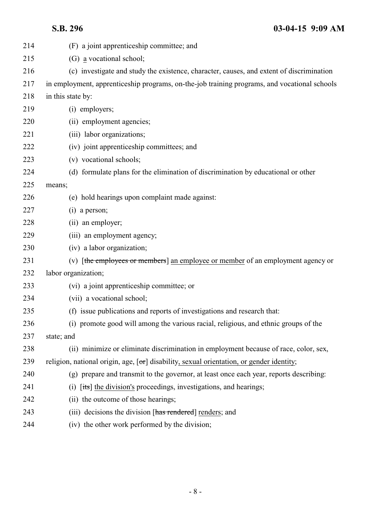| 214 | (F) a joint apprenticeship committee; and                                                    |
|-----|----------------------------------------------------------------------------------------------|
| 215 | (G) a vocational school;                                                                     |
| 216 | (c) investigate and study the existence, character, causes, and extent of discrimination     |
| 217 | in employment, apprenticeship programs, on-the-job training programs, and vocational schools |
| 218 | in this state by:                                                                            |
| 219 | (i) employers;                                                                               |
| 220 | (ii) employment agencies;                                                                    |
| 221 | (iii) labor organizations;                                                                   |
| 222 | (iv) joint apprenticeship committees; and                                                    |
| 223 | (v) vocational schools;                                                                      |
| 224 | (d) formulate plans for the elimination of discrimination by educational or other            |
| 225 | means;                                                                                       |
| 226 | (e) hold hearings upon complaint made against:                                               |
| 227 | $(i)$ a person;                                                                              |
| 228 | (ii) an employer;                                                                            |
| 229 | (iii) an employment agency;                                                                  |
| 230 | (iv) a labor organization;                                                                   |
| 231 | (v) [the employees or members] an employee or member of an employment agency or              |
| 232 | labor organization;                                                                          |
| 233 | (vi) a joint apprenticeship committee; or                                                    |
| 234 | (vii) a vocational school;                                                                   |
| 235 | (f) issue publications and reports of investigations and research that:                      |
| 236 | (i) promote good will among the various racial, religious, and ethnic groups of the          |
| 237 | state; and                                                                                   |
| 238 | (ii) minimize or eliminate discrimination in employment because of race, color, sex,         |
| 239 | religion, national origin, age, [or] disability, sexual orientation, or gender identity;     |
| 240 | (g) prepare and transmit to the governor, at least once each year, reports describing:       |
| 241 | [its] the division's proceedings, investigations, and hearings;<br>(i)                       |
| 242 | (ii) the outcome of those hearings;                                                          |
| 243 | (iii) decisions the division [has rendered] renders; and                                     |
| 244 | (iv) the other work performed by the division;                                               |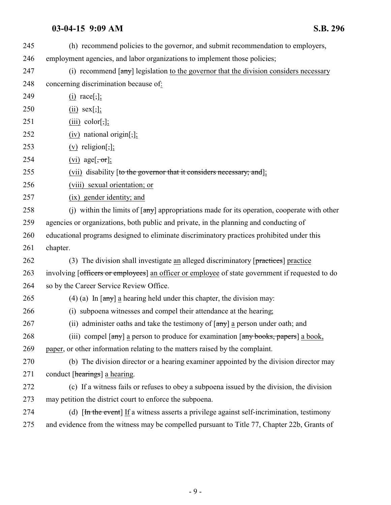| 245 | (h) recommend policies to the governor, and submit recommendation to employers,                                     |
|-----|---------------------------------------------------------------------------------------------------------------------|
| 246 | employment agencies, and labor organizations to implement those policies;                                           |
| 247 | (i) recommend $[\frac{any}{n}]$ legislation to the governor that the division considers necessary                   |
| 248 | concerning discrimination because of:                                                                               |
| 249 | $(i) \ \text{race}[\cdot]$ ;                                                                                        |
| 250 | $(ii)$ sex[,];                                                                                                      |
| 251 | $(iii)$ color[,];                                                                                                   |
| 252 | (iv) national origin[;];                                                                                            |
| 253 | $(v)$ religion[,];                                                                                                  |
| 254 | (vi) age $[\overline{\text{or}}]$ ;                                                                                 |
| 255 | (vii) disability [to the governor that it considers necessary; and];                                                |
| 256 | (viii) sexual orientation; or                                                                                       |
| 257 | (ix) gender identity; and                                                                                           |
| 258 | (i) within the limits of $\left[\frac{any}{any}\right]$ appropriations made for its operation, cooperate with other |
| 259 | agencies or organizations, both public and private, in the planning and conducting of                               |
| 260 | educational programs designed to eliminate discriminatory practices prohibited under this                           |
| 261 | chapter.                                                                                                            |
| 262 | (3) The division shall investigate an alleged discriminatory $[\text{practices}]$ practice                          |
| 263 | involving [officers or employees] an officer or employee of state government if requested to do                     |
| 264 | so by the Career Service Review Office.                                                                             |
| 265 | (4) (a) In $\lceil \frac{any}{n} \rceil$ a hearing held under this chapter, the division may:                       |
| 266 | (i) subpoena witnesses and compel their attendance at the hearing;                                                  |
| 267 | (ii) administer oaths and take the testimony of $\lceil \frac{any}{n} \rceil$ a person under oath; and              |
| 268 | (iii) compel [any] a person to produce for examination [any books, papers] a book,                                  |
| 269 | paper, or other information relating to the matters raised by the complaint.                                        |
| 270 | (b) The division director or a hearing examiner appointed by the division director may                              |
| 271 | conduct [hearings] a hearing.                                                                                       |
| 272 | (c) If a witness fails or refuses to obey a subpoena issued by the division, the division                           |
| 273 | may petition the district court to enforce the subpoena.                                                            |
| 274 | (d) $[\text{In the event}]$ If a witness asserts a privilege against self-incrimination, testimony                  |
| 275 | and evidence from the witness may be compelled pursuant to Title 77, Chapter 22b, Grants of                         |
|     |                                                                                                                     |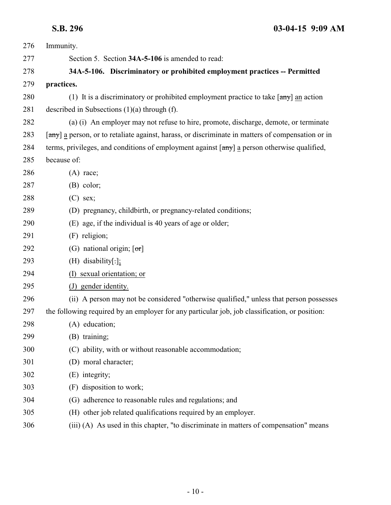<span id="page-9-0"></span>

| 276 | Immunity.                                                                                                    |
|-----|--------------------------------------------------------------------------------------------------------------|
| 277 | Section 5. Section 34A-5-106 is amended to read:                                                             |
| 278 | 34A-5-106. Discriminatory or prohibited employment practices -- Permitted                                    |
| 279 | practices.                                                                                                   |
| 280 | (1) It is a discriminatory or prohibited employment practice to take $\lceil \frac{any}{n} \rceil$ an action |
| 281 | described in Subsections $(1)(a)$ through $(f)$ .                                                            |
| 282 | (a) (i) An employer may not refuse to hire, promote, discharge, demote, or terminate                         |
| 283 | [any] a person, or to retaliate against, harass, or discriminate in matters of compensation or in            |
| 284 | terms, privileges, and conditions of employment against $[\text{any}]$ a person otherwise qualified,         |
| 285 | because of:                                                                                                  |
| 286 | $(A)$ race;                                                                                                  |
| 287 | $(B)$ color;                                                                                                 |
| 288 | $(C)$ sex;                                                                                                   |
| 289 | (D) pregnancy, childbirth, or pregnancy-related conditions;                                                  |
| 290 | (E) age, if the individual is 40 years of age or older;                                                      |
| 291 | (F) religion;                                                                                                |
| 292 | (G) national origin; $\lceil \sigma r \rceil$                                                                |
| 293 | $(H)$ disability[.];                                                                                         |
| 294 | (I) sexual orientation; or                                                                                   |
| 295 | (J) gender identity.                                                                                         |
| 296 | (ii) A person may not be considered "otherwise qualified," unless that person possesses                      |
| 297 | the following required by an employer for any particular job, job classification, or position:               |
| 298 | (A) education;                                                                                               |
| 299 | (B) training;                                                                                                |
| 300 | (C) ability, with or without reasonable accommodation;                                                       |
| 301 | (D) moral character;                                                                                         |
| 302 | (E) integrity;                                                                                               |
| 303 | (F) disposition to work;                                                                                     |
| 304 | (G) adherence to reasonable rules and regulations; and                                                       |
| 305 | (H) other job related qualifications required by an employer.                                                |
| 306 | (iii) (A) As used in this chapter, "to discriminate in matters of compensation" means                        |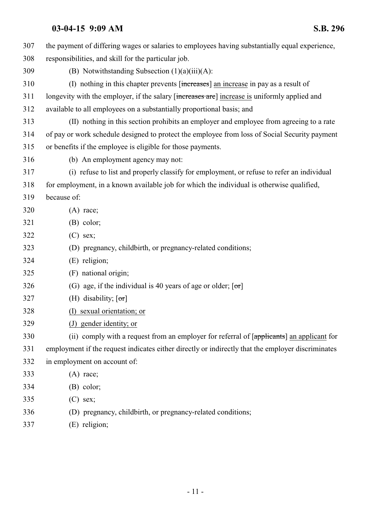| 307 | the payment of differing wages or salaries to employees having substantially equal experience,    |
|-----|---------------------------------------------------------------------------------------------------|
| 308 | responsibilities, and skill for the particular job.                                               |
| 309 | (B) Notwithstanding Subsection $(1)(a)(iii)(A)$ :                                                 |
| 310 | (I) nothing in this chapter prevents [increases] an increase in pay as a result of                |
| 311 | longevity with the employer, if the salary [increases are] increase is uniformly applied and      |
| 312 | available to all employees on a substantially proportional basis; and                             |
| 313 | (II) nothing in this section prohibits an employer and employee from agreeing to a rate           |
| 314 | of pay or work schedule designed to protect the employee from loss of Social Security payment     |
| 315 | or benefits if the employee is eligible for those payments.                                       |
| 316 | (b) An employment agency may not:                                                                 |
| 317 | (i) refuse to list and properly classify for employment, or refuse to refer an individual         |
| 318 | for employment, in a known available job for which the individual is otherwise qualified,         |
| 319 | because of:                                                                                       |
| 320 | $(A)$ race;                                                                                       |
| 321 | $(B)$ color;                                                                                      |
| 322 | $(C)$ sex;                                                                                        |
| 323 | (D) pregnancy, childbirth, or pregnancy-related conditions;                                       |
| 324 | (E) religion;                                                                                     |
| 325 | (F) national origin;                                                                              |
| 326 | (G) age, if the individual is 40 years of age or older; $[\sigma r]$                              |
| 327 | (H) disability; $[\sigma r]$                                                                      |
| 328 | sexual orientation; or<br>(D                                                                      |
| 329 | (J) gender identity; or                                                                           |
| 330 | (ii) comply with a request from an employer for referral of [applicants] an applicant for         |
| 331 | employment if the request indicates either directly or indirectly that the employer discriminates |
| 332 | in employment on account of:                                                                      |
| 333 | $(A)$ race;                                                                                       |
| 334 | $(B)$ color;                                                                                      |
| 335 | $(C)$ sex;                                                                                        |
| 336 | (D) pregnancy, childbirth, or pregnancy-related conditions;                                       |
| 337 | (E) religion;                                                                                     |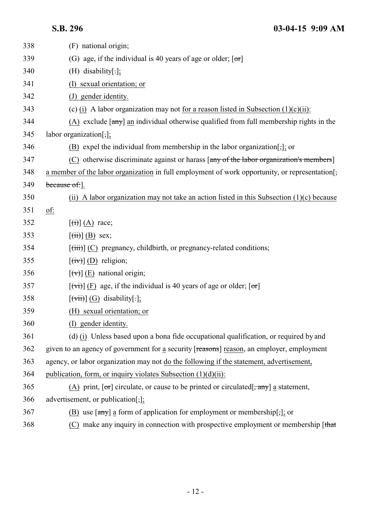| 338 | (F) national origin;                                                                                                                                                |
|-----|---------------------------------------------------------------------------------------------------------------------------------------------------------------------|
| 339 | (G) age, if the individual is 40 years of age or older; $[\sigma r]$                                                                                                |
| 340 | $(H)$ disability[.];                                                                                                                                                |
| 341 | (I) sexual orientation; or                                                                                                                                          |
| 342 | (J) gender identity.                                                                                                                                                |
| 343 | (c) (i) A labor organization may not for a reason listed in Subsection $(1)(c)(ii)$ :                                                                               |
| 344 | (A) exclude $\lceil \frac{any}{n} \rceil$ an individual otherwise qualified from full membership rights in the                                                      |
| 345 | labor organization[ $\frac{1}{2}$ ];                                                                                                                                |
| 346 | (B) expel the individual from membership in the labor organization[,]; or                                                                                           |
| 347 | (C) otherwise discriminate against or harass $\left[\frac{any \text{ of the labor organization's members}}{any \text{ of the labor organization's members}}\right]$ |
| 348 | a member of the labor organization in full employment of work opportunity, or representation[,                                                                      |
| 349 | because of: ].                                                                                                                                                      |
| 350 | (ii) A labor organization may not take an action listed in this Subsection $(1)(c)$ because                                                                         |
| 351 | of:                                                                                                                                                                 |
| 352 | $[\text{ }(\text{ }i)]$ (A) race;                                                                                                                                   |
| 353 | $\left[\left(\overrightarrow{ii}\right)\right]$ (B) sex;                                                                                                            |
| 354 | $[\overrightarrow{tiii}]$ (C) pregnancy, childbirth, or pregnancy-related conditions;                                                                               |
| 355 | $[\overline{(\text{iv})}]$ (D) religion;                                                                                                                            |
| 356 | $\left[\left(\overline{v}\right)\right]$ (E) national origin;                                                                                                       |
| 357 | $[\overrightarrow{(vi)}]$ (F) age, if the individual is 40 years of age or older; $[\overrightarrow{or}]$                                                           |
| 358 | $\left[\overrightarrow{vii}\right]$ (G) disability[:];                                                                                                              |
| 359 | (H) sexual orientation; or                                                                                                                                          |
| 360 | (I) gender identity.                                                                                                                                                |
| 361 | (d) (i) Unless based upon a bona fide occupational qualification, or required by and                                                                                |
| 362 | given to an agency of government for a security [reasons] reason, an employer, employment                                                                           |
| 363 | agency, or labor organization may not do the following if the statement, advertisement,                                                                             |
| 364 | publication, form, or inquiry violates Subsection $(1)(d)(ii)$ :                                                                                                    |
| 365 | (A) print, $\lceil \text{or} \rceil$ circulate, or cause to be printed or circulated $\lceil \text{or} \rceil$ a statement,                                         |
| 366 | advertisement, or publication[,];                                                                                                                                   |
| 367 | (B) use $\lceil \frac{any}{n} \rceil$ a form of application for employment or membership[,]; or                                                                     |
| 368 | (C) make any inquiry in connection with prospective employment or membership $[that]$                                                                               |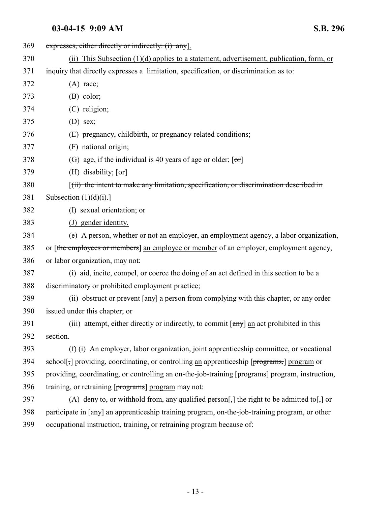| 369 | expresses, either directly or indirectly: (i) any.                                                             |
|-----|----------------------------------------------------------------------------------------------------------------|
| 370 | This Subsection $(1)(d)$ applies to a statement, advertisement, publication, form, or<br>(ii)                  |
| 371 | inquiry that directly expresses a limitation, specification, or discrimination as to:                          |
| 372 | $(A)$ race;                                                                                                    |
| 373 | $(B)$ color;                                                                                                   |
| 374 | (C) religion;                                                                                                  |
| 375 | $(D)$ sex;                                                                                                     |
| 376 | (E) pregnancy, childbirth, or pregnancy-related conditions;                                                    |
| 377 | (F) national origin;                                                                                           |
| 378 | (G) age, if the individual is 40 years of age or older; $[\sigma r]$                                           |
| 379 | (H) disability; $[or]$                                                                                         |
| 380 | $(iii)$ the intent to make any limitation, specification, or discrimination described in                       |
| 381 | Subsection $(1)(d)(i)$ .                                                                                       |
| 382 | sexual orientation; or                                                                                         |
| 383 | (J) gender identity.                                                                                           |
| 384 | (e) A person, whether or not an employer, an employment agency, a labor organization,                          |
| 385 | or [the employees or members] an employee or member of an employer, employment agency,                         |
| 386 | or labor organization, may not:                                                                                |
| 387 | (i) aid, incite, compel, or coerce the doing of an act defined in this section to be a                         |
| 388 | discriminatory or prohibited employment practice;                                                              |
| 389 | (ii) obstruct or prevent $\lceil \frac{any}{n} \rceil$ a person from complying with this chapter, or any order |
| 390 | issued under this chapter; or                                                                                  |
| 391 | (iii) attempt, either directly or indirectly, to commit [any] an act prohibited in this                        |
| 392 | section.                                                                                                       |
| 393 | (f) (i) An employer, labor organization, joint apprenticeship committee, or vocational                         |
| 394 | school[,] providing, coordinating, or controlling an apprenticeship [programs,] program or                     |
| 395 | providing, coordinating, or controlling an on-the-job-training [programs] program, instruction,                |
| 396 | training, or retraining [programs] program may not:                                                            |
| 397 | (A) deny to, or withhold from, any qualified person[,] the right to be admitted to[,] or                       |
| 398 | participate in [any] an apprenticeship training program, on-the-job-training program, or other                 |
| 399 | occupational instruction, training, or retraining program because of:                                          |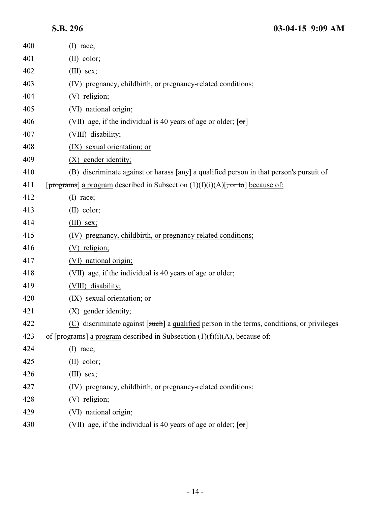| 400 | $(I)$ race;                                                                                                                                                       |
|-----|-------------------------------------------------------------------------------------------------------------------------------------------------------------------|
| 401 | $(II)$ color;                                                                                                                                                     |
| 402 | $(III)$ sex;                                                                                                                                                      |
| 403 | (IV) pregnancy, childbirth, or pregnancy-related conditions;                                                                                                      |
| 404 | (V) religion;                                                                                                                                                     |
| 405 | (VI) national origin;                                                                                                                                             |
| 406 | (VII) age, if the individual is 40 years of age or older; $[\sigma r]$                                                                                            |
| 407 | (VIII) disability;                                                                                                                                                |
| 408 | (IX) sexual orientation; or                                                                                                                                       |
| 409 | (X) gender identity;                                                                                                                                              |
| 410 | (B) discriminate against or harass $\lceil \frac{any}{n} \rceil$ a qualified person in that person's pursuit of                                                   |
| 411 | [programs] a program described in Subsection $(1)(f)(i)(A)[\overline{f} \cdot \overline{f} \cdot \overline{f} \cdot \overline{f} \cdot \overline{f}]$ because of: |
| 412 | $(I)$ race;                                                                                                                                                       |
| 413 | $(II)$ color;                                                                                                                                                     |
| 414 | $(III)$ sex;                                                                                                                                                      |
| 415 | (IV) pregnancy, childbirth, or pregnancy-related conditions;                                                                                                      |
| 416 | (V) religion;                                                                                                                                                     |
| 417 | (VI) national origin;                                                                                                                                             |
| 418 | (VII) age, if the individual is 40 years of age or older;                                                                                                         |
| 419 | (VIII) disability;                                                                                                                                                |
| 420 | (IX) sexual orientation; or                                                                                                                                       |
| 421 | (X) gender identity;                                                                                                                                              |
| 422 | (C) discriminate against [such] a qualified person in the terms, conditions, or privileges                                                                        |
| 423 | of $\lceil \frac{\text{programs}}{\text{array}} \rceil$ a program described in Subsection (1)(f)(i)(A), because of:                                               |
| 424 | $(I)$ race;                                                                                                                                                       |
| 425 | $(II)$ color;                                                                                                                                                     |
| 426 | $(III)$ sex;                                                                                                                                                      |
| 427 | (IV) pregnancy, childbirth, or pregnancy-related conditions;                                                                                                      |
| 428 | (V) religion;                                                                                                                                                     |
| 429 | (VI) national origin;                                                                                                                                             |
| 430 | (VII) age, if the individual is 40 years of age or older; $[\sigma r]$                                                                                            |
|     |                                                                                                                                                                   |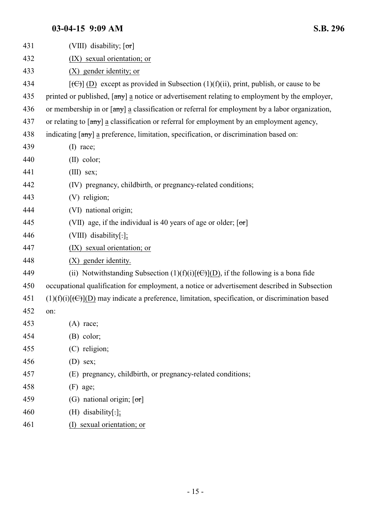| 431 | (VIII) disability; $[\sigma r]$                                                                                        |
|-----|------------------------------------------------------------------------------------------------------------------------|
| 432 | (IX) sexual orientation; or                                                                                            |
| 433 | (X) gender identity; or                                                                                                |
| 434 | $[\text{f}\Theta]$ (D) except as provided in Subsection (1)(f)(ii), print, publish, or cause to be                     |
| 435 | printed or published, $\lceil \frac{any}{n} \rceil$ a notice or advertisement relating to employment by the employer,  |
| 436 | or membership in or $\lceil \frac{any}{n} \rceil$ a classification or referral for employment by a labor organization, |
| 437 | or relating to [any] a classification or referral for employment by an employment agency,                              |
| 438 | indicating [any] a preference, limitation, specification, or discrimination based on:                                  |
| 439 | $(I)$ race;                                                                                                            |
| 440 | $(II)$ color;                                                                                                          |
| 441 | $(III)$ sex;                                                                                                           |
| 442 | (IV) pregnancy, childbirth, or pregnancy-related conditions;                                                           |
| 443 | (V) religion;                                                                                                          |
| 444 | (VI) national origin;                                                                                                  |
| 445 | (VII) age, if the individual is 40 years of age or older; $[\sigma r]$                                                 |
| 446 | (VIII) disability[.];                                                                                                  |
| 447 | (IX) sexual orientation; or                                                                                            |
| 448 | (X) gender identity.                                                                                                   |
| 449 | (ii) Notwithstanding Subsection $(1)(f)(i)[(C)](D)$ , if the following is a bona fide                                  |
| 450 | occupational qualification for employment, a notice or advertisement described in Subsection                           |
| 451 | $(1)(f)(i)[\Theta]$ (D) may indicate a preference, limitation, specification, or discrimination based                  |
| 452 | on:                                                                                                                    |
| 453 | $(A)$ race;                                                                                                            |
| 454 | $(B)$ color;                                                                                                           |
| 455 | (C) religion;                                                                                                          |
| 456 | $(D)$ sex;                                                                                                             |
| 457 | (E) pregnancy, childbirth, or pregnancy-related conditions;                                                            |
| 458 | $(F)$ age;                                                                                                             |
| 459 | (G) national origin; $[\sigma r]$                                                                                      |
| 460 | $(H)$ disability[.];                                                                                                   |
| 461 | (I) sexual orientation; or                                                                                             |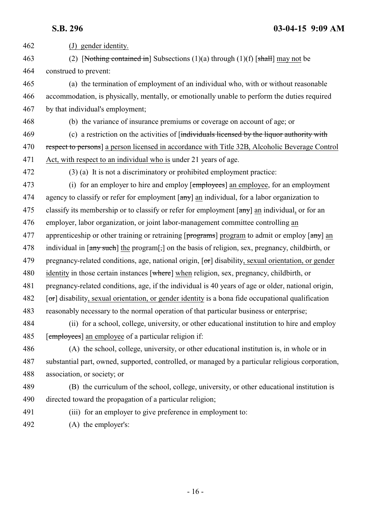(J) gender identity. 463 (2) [Nothing contained in] Subsections  $(1)(a)$  through  $(1)(f)$  [shall] may not be construed to prevent: (a) the termination of employment of an individual who, with or without reasonable accommodation, is physically, mentally, or emotionally unable to perform the duties required by that individual's employment; (b) the variance of insurance premiums or coverage on account of age; or (c) a restriction on the activities of [individuals licensed by the liquor authority with 470 respect to persons] a person licensed in accordance with Title 32B, Alcoholic Beverage Control Act, with respect to an individual who is under 21 years of age. (3) (a) It is not a discriminatory or prohibited employment practice: 473 (i) for an employer to hire and employ [employees] an employee, for an employment 474 agency to classify or refer for employment  $\left[\frac{any}{n}\right]$  an individual, for a labor organization to 475 classify its membership or to classify or refer for employment  $[\text{any}]$  an individual, or for an employer, labor organization, or joint labor-management committee controlling an 477 apprenticeship or other training or retraining [programs] program to admit or employ [any] an 478 individual in  $\left[\frac{amy}{m} \cdot \frac{smc}{m}\right]$  the program $\left[\frac{1}{2}\right]$  on the basis of religion, sex, pregnancy, childbirth, or pregnancy-related conditions, age, national origin, [or] disability, sexual orientation, or gender 480 identity in those certain instances [where] when religion, sex, pregnancy, childbirth, or pregnancy-related conditions, age, if the individual is 40 years of age or older, national origin, [or] disability, sexual orientation, or gender identity is a bona fide occupational qualification reasonably necessary to the normal operation of that particular business or enterprise; (ii) for a school, college, university, or other educational institution to hire and employ 485 [employees] an employee of a particular religion if: (A) the school, college, university, or other educational institution is, in whole or in substantial part, owned, supported, controlled, or managed by a particular religious corporation, association, or society; or (B) the curriculum of the school, college, university, or other educational institution is directed toward the propagation of a particular religion; 491 (iii) for an employer to give preference in employment to: (A) the employer's: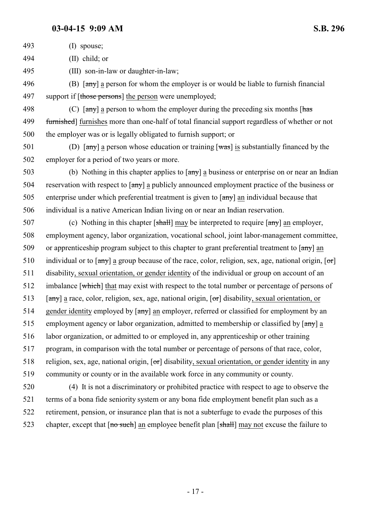493 (I) spouse; 494 (II) child; or 495 (III) son-in-law or daughter-in-law; 496 (B)  $\left[\frac{\text{any}}{\text{any}}\right]$  a person for whom the employer is or would be liable to furnish financial 497 support if [those persons] the person were unemployed; 498 (C)  $\left[\frac{\text{any}}{\text{any}}\right]$  a person to whom the employer during the preceding six months  $\left[\frac{\text{has}}{\text{has}}\right]$ 499 furnished] furnishes more than one-half of total financial support regardless of whether or not 500 the employer was or is legally obligated to furnish support; or 501 (D)  $\left[\frac{amy}{a\pi y}\right]$  a person whose education or training  $\left[\frac{w}{a\pi y}\right]$  is substantially financed by the 502 employer for a period of two years or more. 503 (b) Nothing in this chapter applies to  $\text{tan } y$  a business or enterprise on or near an Indian 504 reservation with respect to  $\left[\frac{amy}{\alpha}\right]$  a publicly announced employment practice of the business or 505 enterprise under which preferential treatment is given to [any] an individual because that 506 individual is a native American Indian living on or near an Indian reservation. 507 (c) Nothing in this chapter  $[\frac{shall}{]}$  may be interpreted to require  $[\frac{amyl}{]}$  an employer, 508 employment agency, labor organization, vocational school, joint labor-management committee, 509 or apprenticeship program subject to this chapter to grant preferential treatment to  $\left[\frac{amy}{} \right]$  an 510 individual or to  $\begin{bmatrix} \frac{1}{6} \\frac{1}{6} \\frac{1}{6} \\frac{1}{6} \\frac{1}{6} \\frac{1}{6} \\frac{1}{6} \\frac{1}{6} \\frac{1}{6} \\frac{1}{6} \\frac{1}{6} \\frac{1}{6} \\frac{1}{6} \\frac{1}{6} \\frac{1}{6} \\frac{1}{6} \\frac{1}{6} \\frac{1}{6} \\frac{1}{6} \\frac{1}{6} \\frac{1}{6} \\frac{1}{6} \\frac{1}{6} \\frac{1}{6} \\frac{1}{6} \\frac{1}{6} \\frac{1}{6} \\frac{1$ 511 disability, sexual orientation, or gender identity of the individual or group on account of an 512 imbalance [which] that may exist with respect to the total number or percentage of persons of 513 [any] a race, color, religion, sex, age, national origin,  $\sigma$ ] disability, sexual orientation, or 514 gender identity employed by  $\left[\frac{amy}{amy}\right]$  an employer, referred or classified for employment by an 515 employment agency or labor organization, admitted to membership or classified by [any] a 516 labor organization, or admitted to or employed in, any apprenticeship or other training 517 program, in comparison with the total number or percentage of persons of that race, color, 518 religion, sex, age, national origin,  $[\sigma r]$  disability, sexual orientation, or gender identity in any 519 community or county or in the available work force in any community or county. 520 (4) It is not a discriminatory or prohibited practice with respect to age to observe the 521 terms of a bona fide seniority system or any bona fide employment benefit plan such as a 522 retirement, pension, or insurance plan that is not a subterfuge to evade the purposes of this 523 chapter, except that  $\lceil$  no such an employee benefit plan  $\lceil$  shall may not excuse the failure to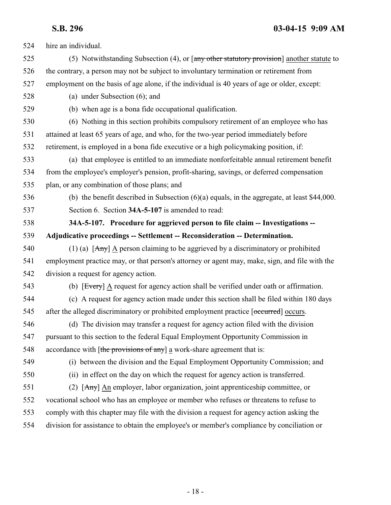<span id="page-17-0"></span>

| 524 | hire an individual.                                                                                                                     |
|-----|-----------------------------------------------------------------------------------------------------------------------------------------|
| 525 | (5) Notwithstanding Subsection (4), or $\left[\frac{\text{any other stationary provision}}{\text{provision}}\right]$ another statute to |
| 526 | the contrary, a person may not be subject to involuntary termination or retirement from                                                 |
| 527 | employment on the basis of age alone, if the individual is 40 years of age or older, except:                                            |
| 528 | (a) under Subsection $(6)$ ; and                                                                                                        |
| 529 | (b) when age is a bona fide occupational qualification.                                                                                 |
| 530 | (6) Nothing in this section prohibits compulsory retirement of an employee who has                                                      |
| 531 | attained at least 65 years of age, and who, for the two-year period immediately before                                                  |
| 532 | retirement, is employed in a bona fide executive or a high policymaking position, if:                                                   |
| 533 | (a) that employee is entitled to an immediate nonforfeitable annual retirement benefit                                                  |
| 534 | from the employee's employer's pension, profit-sharing, savings, or deferred compensation                                               |
| 535 | plan, or any combination of those plans; and                                                                                            |
| 536 | (b) the benefit described in Subsection $(6)(a)$ equals, in the aggregate, at least \$44,000.                                           |
| 537 | Section 6. Section 34A-5-107 is amended to read:                                                                                        |
| 538 | 34A-5-107. Procedure for aggrieved person to file claim -- Investigations --                                                            |
| 539 | Adjudicative proceedings -- Settlement -- Reconsideration -- Determination.                                                             |
| 540 | (1) (a) $[Any]$ $\triangle$ person claiming to be aggrieved by a discriminatory or prohibited                                           |
| 541 | employment practice may, or that person's attorney or agent may, make, sign, and file with the                                          |
| 542 | division a request for agency action.                                                                                                   |
| 543 | (b) [Every] A request for agency action shall be verified under oath or affirmation.                                                    |
| 544 | (c) A request for agency action made under this section shall be filed within 180 days                                                  |
| 545 | after the alleged discriminatory or prohibited employment practice [occurred] occurs.                                                   |
| 546 | (d) The division may transfer a request for agency action filed with the division                                                       |
| 547 | pursuant to this section to the federal Equal Employment Opportunity Commission in                                                      |
| 548 | accordance with [the provisions of any] a work-share agreement that is:                                                                 |
| 549 | (i) between the division and the Equal Employment Opportunity Commission; and                                                           |
| 550 | (ii) in effect on the day on which the request for agency action is transferred.                                                        |
| 551 | (2) $[Any]$ An employer, labor organization, joint apprenticeship committee, or                                                         |
| 552 | vocational school who has an employee or member who refuses or threatens to refuse to                                                   |
| 553 | comply with this chapter may file with the division a request for agency action asking the                                              |
| 554 | division for assistance to obtain the employee's or member's compliance by conciliation or                                              |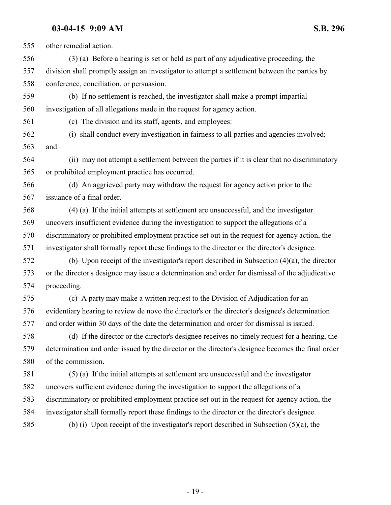other remedial action.

 (3) (a) Before a hearing is set or held as part of any adjudicative proceeding, the division shall promptly assign an investigator to attempt a settlement between the parties by conference, conciliation, or persuasion.

 (b) If no settlement is reached, the investigator shall make a prompt impartial investigation of all allegations made in the request for agency action.

(c) The division and its staff, agents, and employees:

 (i) shall conduct every investigation in fairness to all parties and agencies involved; and

 (ii) may not attempt a settlement between the parties if it is clear that no discriminatory or prohibited employment practice has occurred.

 (d) An aggrieved party may withdraw the request for agency action prior to the issuance of a final order.

 (4) (a) If the initial attempts at settlement are unsuccessful, and the investigator uncovers insufficient evidence during the investigation to support the allegations of a discriminatory or prohibited employment practice set out in the request for agency action, the investigator shall formally report these findings to the director or the director's designee.

 (b) Upon receipt of the investigator's report described in Subsection (4)(a), the director or the director's designee may issue a determination and order for dismissal of the adjudicative proceeding.

 (c) A party may make a written request to the Division of Adjudication for an evidentiary hearing to review de novo the director's or the director's designee's determination and order within 30 days of the date the determination and order for dismissal is issued.

 (d) If the director or the director's designee receives no timely request for a hearing, the determination and order issued by the director or the director's designee becomes the final order of the commission.

 (5) (a) If the initial attempts at settlement are unsuccessful and the investigator uncovers sufficient evidence during the investigation to support the allegations of a discriminatory or prohibited employment practice set out in the request for agency action, the investigator shall formally report these findings to the director or the director's designee. (b) (i) Upon receipt of the investigator's report described in Subsection (5)(a), the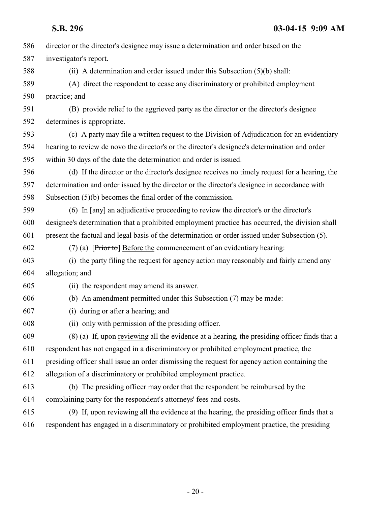| 586 | director or the director's designee may issue a determination and order based on the                       |
|-----|------------------------------------------------------------------------------------------------------------|
| 587 | investigator's report.                                                                                     |
| 588 | (ii) A determination and order issued under this Subsection $(5)(b)$ shall:                                |
| 589 | (A) direct the respondent to cease any discriminatory or prohibited employment                             |
| 590 | practice; and                                                                                              |
| 591 | (B) provide relief to the aggrieved party as the director or the director's designee                       |
| 592 | determines is appropriate.                                                                                 |
| 593 | (c) A party may file a written request to the Division of Adjudication for an evidentiary                  |
| 594 | hearing to review de novo the director's or the director's designee's determination and order              |
| 595 | within 30 days of the date the determination and order is issued.                                          |
| 596 | (d) If the director or the director's designee receives no timely request for a hearing, the               |
| 597 | determination and order issued by the director or the director's designee in accordance with               |
| 598 | Subsection $(5)(b)$ becomes the final order of the commission.                                             |
| 599 | (6) In $\lceil \frac{any}{2} \rceil$ an adjudicative proceeding to review the director's or the director's |
| 600 | designee's determination that a prohibited employment practice has occurred, the division shall            |
| 601 | present the factual and legal basis of the determination or order issued under Subsection (5).             |
| 602 | $(7)$ (a) [Prior to] Before the commencement of an evidentiary hearing:                                    |
| 603 | (i) the party filing the request for agency action may reasonably and fairly amend any                     |
| 604 | allegation; and                                                                                            |
| 605 | (ii) the respondent may amend its answer.                                                                  |
| 606 | (b) An amendment permitted under this Subsection (7) may be made:                                          |
| 607 | (i) during or after a hearing; and                                                                         |
| 608 | (ii) only with permission of the presiding officer.                                                        |
| 609 | (8) (a) If, upon reviewing all the evidence at a hearing, the presiding officer finds that a               |
| 610 | respondent has not engaged in a discriminatory or prohibited employment practice, the                      |
| 611 | presiding officer shall issue an order dismissing the request for agency action containing the             |
| 612 | allegation of a discriminatory or prohibited employment practice.                                          |
| 613 | (b) The presiding officer may order that the respondent be reimbursed by the                               |
| 614 | complaining party for the respondent's attorneys' fees and costs.                                          |
| 615 | (9) If, upon reviewing all the evidence at the hearing, the presiding officer finds that a                 |
| 616 | respondent has engaged in a discriminatory or prohibited employment practice, the presiding                |
|     |                                                                                                            |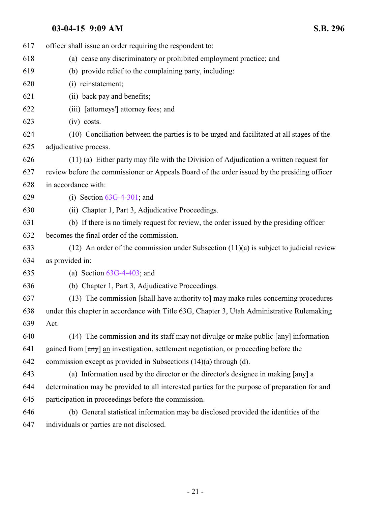| 617 | officer shall issue an order requiring the respondent to:                                                   |
|-----|-------------------------------------------------------------------------------------------------------------|
| 618 | (a) cease any discriminatory or prohibited employment practice; and                                         |
| 619 | (b) provide relief to the complaining party, including:                                                     |
| 620 | (i) reinstatement;                                                                                          |
| 621 | (ii) back pay and benefits;                                                                                 |
| 622 | (iii) [attorneys'] attorney fees; and                                                                       |
| 623 | $(iv)$ costs.                                                                                               |
| 624 | (10) Conciliation between the parties is to be urged and facilitated at all stages of the                   |
| 625 | adjudicative process.                                                                                       |
| 626 | $(11)$ (a) Either party may file with the Division of Adjudication a written request for                    |
| 627 | review before the commissioner or Appeals Board of the order issued by the presiding officer                |
| 628 | in accordance with:                                                                                         |
| 629 | (i) Section $63G-4-301$ ; and                                                                               |
| 630 | (ii) Chapter 1, Part 3, Adjudicative Proceedings.                                                           |
| 631 | (b) If there is no timely request for review, the order issued by the presiding officer                     |
| 632 | becomes the final order of the commission.                                                                  |
| 633 | $(12)$ An order of the commission under Subsection $(11)(a)$ is subject to judicial review                  |
| 634 | as provided in:                                                                                             |
| 635 | (a) Section $63G-4-403$ ; and                                                                               |
| 636 | (b) Chapter 1, Part 3, Adjudicative Proceedings.                                                            |
| 637 | (13) The commission [shall have authority to] may make rules concerning procedures                          |
| 638 | under this chapter in accordance with Title 63G, Chapter 3, Utah Administrative Rulemaking                  |
| 639 | Act.                                                                                                        |
| 640 | (14) The commission and its staff may not divulge or make public $\left[\frac{amy}{amy}\right]$ information |
| 641 | gained from [any] an investigation, settlement negotiation, or proceeding before the                        |
| 642 | commission except as provided in Subsections $(14)(a)$ through $(d)$ .                                      |
| 643 | (a) Information used by the director or the director's designee in making $\lceil \frac{any}{n} \rceil$ a   |
| 644 | determination may be provided to all interested parties for the purpose of preparation for and              |
| 645 | participation in proceedings before the commission.                                                         |
| 646 | (b) General statistical information may be disclosed provided the identities of the                         |
| 647 | individuals or parties are not disclosed.                                                                   |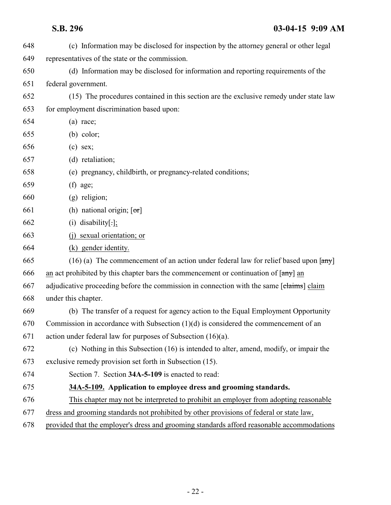<span id="page-21-0"></span>

| 648 | (c) Information may be disclosed for inspection by the attorney general or other legal                                        |
|-----|-------------------------------------------------------------------------------------------------------------------------------|
| 649 | representatives of the state or the commission.                                                                               |
| 650 | (d) Information may be disclosed for information and reporting requirements of the                                            |
| 651 | federal government.                                                                                                           |
| 652 | (15) The procedures contained in this section are the exclusive remedy under state law                                        |
| 653 | for employment discrimination based upon:                                                                                     |
| 654 | $(a)$ race;                                                                                                                   |
| 655 | $(b)$ color;                                                                                                                  |
| 656 | $(c)$ sex;                                                                                                                    |
| 657 | (d) retaliation;                                                                                                              |
| 658 | (e) pregnancy, childbirth, or pregnancy-related conditions;                                                                   |
| 659 | $(f)$ age;                                                                                                                    |
| 660 | $(g)$ religion;                                                                                                               |
| 661 | (h) national origin; $\lceil \sigma r \rceil$                                                                                 |
| 662 | $(i)$ disability[ $:$ ];                                                                                                      |
| 663 | (j) sexual orientation; or                                                                                                    |
| 664 | (k) gender identity.                                                                                                          |
| 665 | $(16)$ (a) The commencement of an action under federal law for relief based upon $\left[\frac{\text{any}}{\text{any}}\right]$ |
| 666 | an act prohibited by this chapter bars the commencement or continuation of $\lceil \frac{any}{n} \rceil$ an                   |
| 667 | adjudicative proceeding before the commission in connection with the same [claims] claim                                      |
| 668 | under this chapter.                                                                                                           |
| 669 | (b) The transfer of a request for agency action to the Equal Employment Opportunity                                           |
| 670 | Commission in accordance with Subsection $(1)(d)$ is considered the commencement of an                                        |
| 671 | action under federal law for purposes of Subsection $(16)(a)$ .                                                               |
| 672 | (c) Nothing in this Subsection (16) is intended to alter, amend, modify, or impair the                                        |
| 673 | exclusive remedy provision set forth in Subsection (15).                                                                      |
| 674 | Section 7. Section 34A-5-109 is enacted to read:                                                                              |
| 675 | 34A-5-109. Application to employee dress and grooming standards.                                                              |
| 676 | This chapter may not be interpreted to prohibit an employer from adopting reasonable                                          |
| 677 | dress and grooming standards not prohibited by other provisions of federal or state law,                                      |
| 678 | provided that the employer's dress and grooming standards afford reasonable accommodations                                    |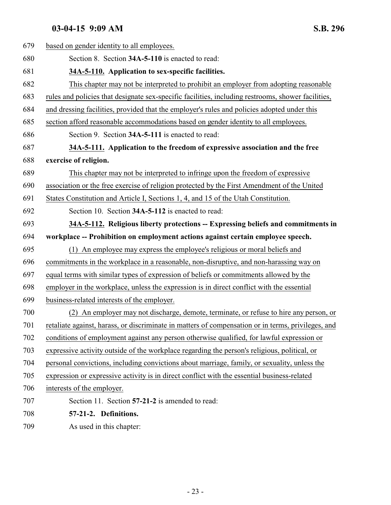### <span id="page-22-1"></span>03-04-15 9:09 AM

|     | 03-04-15 9:09 AM<br>S.B. 296                                                                       |
|-----|----------------------------------------------------------------------------------------------------|
| 679 | based on gender identity to all employees.                                                         |
| 680 | Section 8. Section 34A-5-110 is enacted to read:                                                   |
| 681 | 34A-5-110. Application to sex-specific facilities.                                                 |
| 682 | This chapter may not be interpreted to prohibit an employer from adopting reasonable               |
| 683 | rules and policies that designate sex-specific facilities, including restrooms, shower facilities, |
| 684 | and dressing facilities, provided that the employer's rules and policies adopted under this        |
| 685 | section afford reasonable accommodations based on gender identity to all employees.                |
| 686 | Section 9. Section 34A-5-111 is enacted to read:                                                   |
| 687 | 34A-5-111. Application to the freedom of expressive association and the free                       |
| 688 | exercise of religion.                                                                              |
| 689 | This chapter may not be interpreted to infringe upon the freedom of expressive                     |

- <span id="page-22-2"></span>association or the free exercise of religion protected by the First Amendment of the United
- States Constitution and Article I, Sections 1, 4, and 15 of the Utah Constitution.
- <span id="page-22-3"></span>Section 10. Section **34A-5-112** is enacted to read:
- **34A-5-112. Religious liberty protections -- Expressing beliefs and commitments in workplace -- Prohibition on employment actions against certain employee speech.**
- (1) An employee may express the employee's religious or moral beliefs and
- commitments in the workplace in a reasonable, non-disruptive, and non-harassing way on
- equal terms with similar types of expression of beliefs or commitments allowed by the
- employer in the workplace, unless the expression is in direct conflict with the essential
- business-related interests of the employer.
- (2) An employer may not discharge, demote, terminate, or refuse to hire any person, or retaliate against, harass, or discriminate in matters of compensation or in terms, privileges, and
- conditions of employment against any person otherwise qualified, for lawful expression or
- expressive activity outside of the workplace regarding the person's religious, political, or
- personal convictions, including convictions about marriage, family, or sexuality, unless the
- expression or expressive activity is in direct conflict with the essential business-related
- interests of the employer.
- <span id="page-22-0"></span>Section 11. Section **57-21-2** is amended to read:
- **57-21-2. Definitions.**
- As used in this chapter: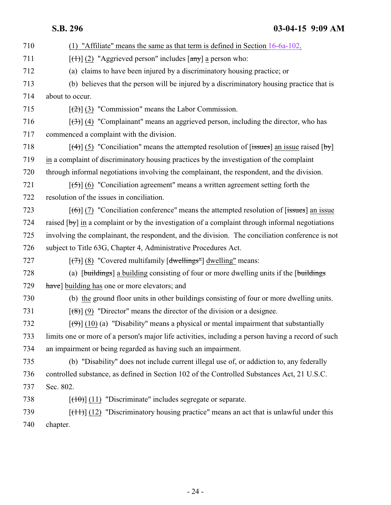| 710 | (1) "Affiliate" means the same as that term is defined in Section $16-6a-102$ .                             |
|-----|-------------------------------------------------------------------------------------------------------------|
| 711 | $[\text{(+)}]$ (2) "Aggrieved person" includes $[\text{any}]$ a person who:                                 |
| 712 | (a) claims to have been injured by a discriminatory housing practice; or                                    |
| 713 | (b) believes that the person will be injured by a discriminatory housing practice that is                   |
| 714 | about to occur.                                                                                             |
| 715 | $[\frac{1}{2}]$ (3) "Commission" means the Labor Commission.                                                |
| 716 | $[\langle 3\rangle]$ (4) "Complainant" means an aggrieved person, including the director, who has           |
| 717 | commenced a complaint with the division.                                                                    |
| 718 | $\lceil$ (4)] (5) "Conciliation" means the attempted resolution of [issues] an issue raised [by]            |
| 719 | in a complaint of discriminatory housing practices by the investigation of the complaint                    |
| 720 | through informal negotiations involving the complainant, the respondent, and the division.                  |
| 721 | $[5]$ (6) "Conciliation agreement" means a written agreement setting forth the                              |
| 722 | resolution of the issues in conciliation.                                                                   |
| 723 | $[\text{f6}]$ (7) "Conciliation conference" means the attempted resolution of [issues] an issue             |
| 724 | raised $[by]$ in a complaint or by the investigation of a complaint through informal negotiations           |
| 725 | involving the complainant, the respondent, and the division. The conciliation conference is not             |
| 726 | subject to Title 63G, Chapter 4, Administrative Procedures Act.                                             |
| 727 | $[\overline{(+)}]$ (8) "Covered multifamily $[\overline{dw}$ ellings" dwelling" means:                      |
| 728 | (a) [buildings] a building consisting of four or more dwelling units if the [buildings]                     |
| 729 | have] building has one or more elevators; and                                                               |
| 730 | (b) the ground floor units in other buildings consisting of four or more dwelling units.                    |
| 731 | $\left[\frac{1}{2}\left(8\right)\right]$ (9) "Director" means the director of the division or a designee.   |
| 732 | $[\left(\frac{4}{9}\right)]$ (10) (a) "Disability" means a physical or mental impairment that substantially |
| 733 | limits one or more of a person's major life activities, including a person having a record of such          |
| 734 | an impairment or being regarded as having such an impairment.                                               |
| 735 | (b) "Disability" does not include current illegal use of, or addiction to, any federally                    |
| 736 | controlled substance, as defined in Section 102 of the Controlled Substances Act, 21 U.S.C.                 |
| 737 | Sec. 802.                                                                                                   |
| 738 | $[\text{(10)} \text{ (11)}$ "Discriminate" includes segregate or separate.                                  |
| 739 | $[\frac{(11)}{(12)}]$ (12) "Discriminatory housing practice" means an act that is unlawful under this       |
| 740 | chapter.                                                                                                    |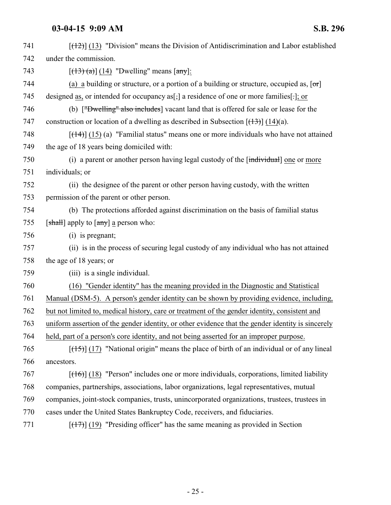| 741 | $[\frac{12}{13}]$ (13) "Division" means the Division of Antidiscrimination and Labor established            |
|-----|-------------------------------------------------------------------------------------------------------------|
| 742 | under the commission.                                                                                       |
| 743 | $[(13)(a)]$ (14) "Dwelling" means $[\text{any}]$ :                                                          |
| 744 | (a) a building or structure, or a portion of a building or structure, occupied as, $\lceil \sigma r \rceil$ |
| 745 | designed as, or intended for occupancy as[;] a residence of one or more families[:]; or                     |
| 746 | (b) ["Dwelling" also includes] vacant land that is offered for sale or lease for the                        |
| 747 | construction or location of a dwelling as described in Subsection $[\frac{+3}{+2}]$ (14)(a).                |
| 748 | $[$ (14+)] (15) (a) "Familial status" means one or more individuals who have not attained                   |
| 749 | the age of 18 years being domiciled with:                                                                   |
| 750 | (i) a parent or another person having legal custody of the $[\text{individual}]$ one or more                |
| 751 | individuals; or                                                                                             |
| 752 | (ii) the designee of the parent or other person having custody, with the written                            |
| 753 | permission of the parent or other person.                                                                   |
| 754 | (b) The protections afforded against discrimination on the basis of familial status                         |
| 755 | [shall] apply to $\left[\frac{\text{any}}{\text{any}}\right]$ a person who:                                 |
| 756 | (i) is pregnant;                                                                                            |
| 757 | (ii) is in the process of securing legal custody of any individual who has not attained                     |
| 758 | the age of 18 years; or                                                                                     |
| 759 | (iii) is a single individual.                                                                               |
| 760 | (16) "Gender identity" has the meaning provided in the Diagnostic and Statistical                           |
| 761 | Manual (DSM-5). A person's gender identity can be shown by providing evidence, including,                   |
| 762 | but not limited to, medical history, care or treatment of the gender identity, consistent and               |
| 763 | uniform assertion of the gender identity, or other evidence that the gender identity is sincerely           |
| 764 | held, part of a person's core identity, and not being asserted for an improper purpose.                     |
| 765 | $[$ (17) "National origin" means the place of birth of an individual or of any lineal                       |
| 766 | ancestors.                                                                                                  |
| 767 | $[ (16) ]$ (18) "Person" includes one or more individuals, corporations, limited liability                  |
| 768 | companies, partnerships, associations, labor organizations, legal representatives, mutual                   |
| 769 | companies, joint-stock companies, trusts, unincorporated organizations, trustees, trustees in               |
| 770 | cases under the United States Bankruptcy Code, receivers, and fiduciaries.                                  |
| 771 | $[\frac{17}{12}]$ (19) "Presiding officer" has the same meaning as provided in Section                      |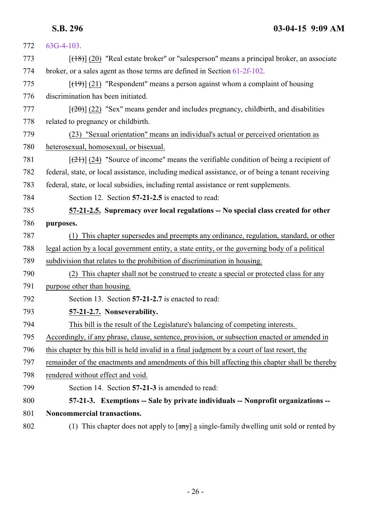<span id="page-25-2"></span><span id="page-25-1"></span><span id="page-25-0"></span>

| 772 | $63G-4-103$ .                                                                                                   |
|-----|-----------------------------------------------------------------------------------------------------------------|
| 773 | $[ (18) ]$ (20) "Real estate broker" or "salesperson" means a principal broker, an associate                    |
| 774 | broker, or a sales agent as those terms are defined in Section 61-2f-102.                                       |
| 775 | $[$ (4+9)] (21) "Respondent" means a person against whom a complaint of housing                                 |
| 776 | discrimination has been initiated.                                                                              |
| 777 | $[\frac{120}{2}]$ (22) "Sex" means gender and includes pregnancy, childbirth, and disabilities                  |
| 778 | related to pregnancy or childbirth.                                                                             |
| 779 | (23) "Sexual orientation" means an individual's actual or perceived orientation as                              |
| 780 | heterosexual, homosexual, or bisexual.                                                                          |
| 781 | $[\frac{(21)}{(24)}]$ (24) "Source of income" means the verifiable condition of being a recipient of            |
| 782 | federal, state, or local assistance, including medical assistance, or of being a tenant receiving               |
| 783 | federal, state, or local subsidies, including rental assistance or rent supplements.                            |
| 784 | Section 12. Section 57-21-2.5 is enacted to read:                                                               |
| 785 | 57-21-2.5. Supremacy over local regulations -- No special class created for other                               |
| 786 | purposes.                                                                                                       |
| 787 | This chapter supersedes and preempts any ordinance, regulation, standard, or other<br>(1)                       |
| 788 | legal action by a local government entity, a state entity, or the governing body of a political                 |
| 789 | subdivision that relates to the prohibition of discrimination in housing.                                       |
| 790 | This chapter shall not be construed to create a special or protected class for any<br>(2)                       |
| 791 | purpose other than housing.                                                                                     |
| 792 | Section 13. Section 57-21-2.7 is enacted to read:                                                               |
| 793 | 57-21-2.7. Nonseverability.                                                                                     |
| 794 | This bill is the result of the Legislature's balancing of competing interests.                                  |
| 795 | Accordingly, if any phrase, clause, sentence, provision, or subsection enacted or amended in                    |
| 796 | this chapter by this bill is held invalid in a final judgment by a court of last resort, the                    |
| 797 | remainder of the enactments and amendments of this bill affecting this chapter shall be thereby                 |
| 798 | rendered without effect and void.                                                                               |
| 799 | Section 14. Section 57-21-3 is amended to read:                                                                 |
| 800 | 57-21-3. Exemptions -- Sale by private individuals -- Nonprofit organizations --                                |
| 801 | Noncommercial transactions.                                                                                     |
| 802 | (1) This chapter does not apply to $\left[\frac{any}{n}\right]$ a single-family dwelling unit sold or rented by |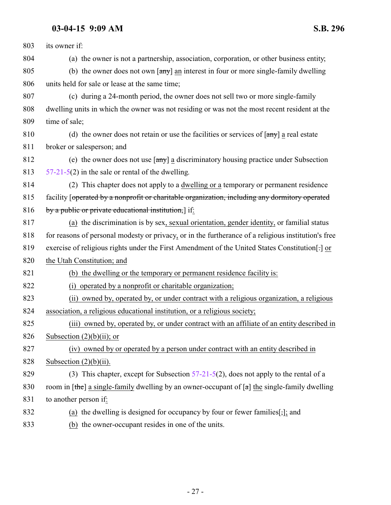| 803 | its owner if:                                                                                              |
|-----|------------------------------------------------------------------------------------------------------------|
| 804 | (a) the owner is not a partnership, association, corporation, or other business entity;                    |
| 805 | (b) the owner does not own $\left[\frac{any}{m}\right]$ an interest in four or more single-family dwelling |
| 806 | units held for sale or lease at the same time;                                                             |
| 807 | (c) during a 24-month period, the owner does not sell two or more single-family                            |
| 808 | dwelling units in which the owner was not residing or was not the most recent resident at the              |
| 809 | time of sale;                                                                                              |
| 810 | (d) the owner does not retain or use the facilities or services of $\text{[any]}$ a real estate            |
| 811 | broker or salesperson; and                                                                                 |
| 812 | (e) the owner does not use $[\text{any}]$ a discriminatory housing practice under Subsection               |
| 813 | $57-21-5(2)$ in the sale or rental of the dwelling.                                                        |
| 814 | (2) This chapter does not apply to a dwelling or a temporary or permanent residence                        |
| 815 | facility [operated by a nonprofit or charitable organization, including any dormitory operated             |
| 816 | by a public or private educational institution, if:                                                        |
| 817 | (a) the discrimination is by sex, sexual orientation, gender identity, or familial status                  |
| 818 | for reasons of personal modesty or privacy, or in the furtherance of a religious institution's free        |
| 819 | exercise of religious rights under the First Amendment of the United States Constitution[:] or             |
| 820 | the Utah Constitution; and                                                                                 |
| 821 | (b) the dwelling or the temporary or permanent residence facility is:                                      |
| 822 | (i) operated by a nonprofit or charitable organization;                                                    |
| 823 | (ii) owned by, operated by, or under contract with a religious organization, a religious                   |
| 824 | association, a religious educational institution, or a religious society;                                  |
| 825 | (iii) owned by, operated by, or under contract with an affiliate of an entity described in                 |
| 826 | Subsection $(2)(b)(ii)$ ; or                                                                               |
| 827 | (iv) owned by or operated by a person under contract with an entity described in                           |
| 828 | Subsection $(2)(b)(ii)$ .                                                                                  |
| 829 | (3) This chapter, except for Subsection $57-21-5(2)$ , does not apply to the rental of a                   |
| 830 | room in [the] a single-family dwelling by an owner-occupant of [a] the single-family dwelling              |
| 831 | to another person if:                                                                                      |
| 832 | (a) the dwelling is designed for occupancy by four or fewer families[5]; and                               |
| 022 |                                                                                                            |

833 (b) the owner-occupant resides in one of the units.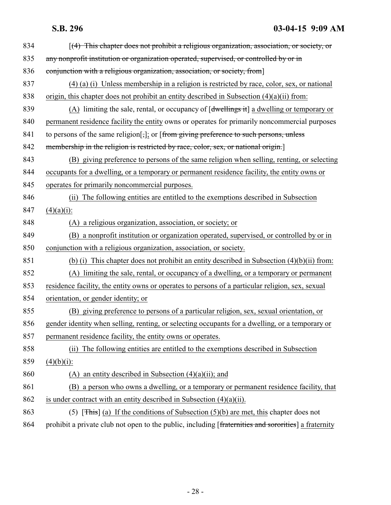| 834 | $\lceil$ (4) This chapter does not prohibit a religious organization, association, or society, or             |
|-----|---------------------------------------------------------------------------------------------------------------|
| 835 | any nonprofit institution or organization operated, supervised, or controlled by or in                        |
| 836 | conjunction with a religious organization, association, or society, from]                                     |
| 837 | $(4)$ (a) (i) Unless membership in a religion is restricted by race, color, sex, or national                  |
| 838 | origin, this chapter does not prohibit an entity described in Subsection $(4)(a)(ii)$ from:                   |
| 839 | (A) limiting the sale, rental, or occupancy of $\left[\frac{dwellings}{dt}\right]$ a dwelling or temporary or |
| 840 | permanent residence facility the entity owns or operates for primarily noncommercial purposes                 |
| 841 | to persons of the same religion[,]; or [from giving preference to such persons, unless                        |
| 842 | membership in the religion is restricted by race, color, sex, or national origin.]                            |
| 843 | (B) giving preference to persons of the same religion when selling, renting, or selecting                     |
| 844 | occupants for a dwelling, or a temporary or permanent residence facility, the entity owns or                  |
| 845 | operates for primarily noncommercial purposes.                                                                |
| 846 | (ii) The following entities are entitled to the exemptions described in Subsection                            |
| 847 | $(4)(a)(i)$ :                                                                                                 |
| 848 | (A) a religious organization, association, or society; or                                                     |
| 849 | (B) a nonprofit institution or organization operated, supervised, or controlled by or in                      |
| 850 | conjunction with a religious organization, association, or society.                                           |
| 851 | (b) (i) This chapter does not prohibit an entity described in Subsection $(4)(b)(ii)$ from:                   |
| 852 | (A) limiting the sale, rental, or occupancy of a dwelling, or a temporary or permanent                        |
| 853 | residence facility, the entity owns or operates to persons of a particular religion, sex, sexual              |
| 854 | orientation, or gender identity; or                                                                           |
| 855 | (B) giving preference to persons of a particular religion, sex, sexual orientation, or                        |
| 856 | gender identity when selling, renting, or selecting occupants for a dwelling, or a temporary or               |
| 857 | permanent residence facility, the entity owns or operates.                                                    |
| 858 | The following entities are entitled to the exemptions described in Subsection<br>(ii)                         |
| 859 | $(4)(b)(i)$ :                                                                                                 |
| 860 | an entity described in Subsection $(4)(a)(ii)$ ; and<br>(A)                                                   |
| 861 | a person who owns a dwelling, or a temporary or permanent residence facility, that<br>(B)                     |
| 862 | is under contract with an entity described in Subsection $(4)(a)(ii)$ .                                       |
| 863 | (5) [ $\overline{\text{This}}$ ] (a) If the conditions of Subsection (5)(b) are met, this chapter does not    |
| 864 | prohibit a private club not open to the public, including [fraternities and sororities] a fraternity          |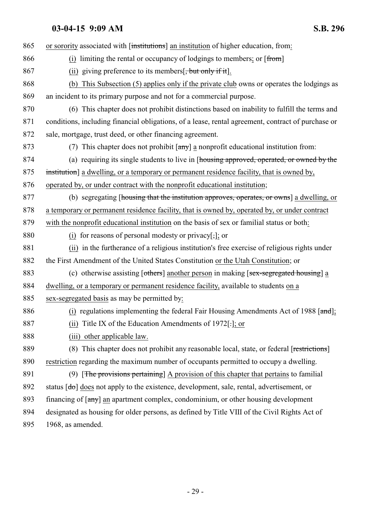| 865 | or sorority associated with [institutions] an institution of higher education, from:                                 |
|-----|----------------------------------------------------------------------------------------------------------------------|
| 866 | (i) limiting the rental or occupancy of lodgings to members; or [from]                                               |
| 867 | (ii) giving preference to its members $\frac{1}{2}$ , but only if it $\frac{1}{2}$ .                                 |
| 868 | (b) This Subsection (5) applies only if the private club owns or operates the lodgings as                            |
| 869 | an incident to its primary purpose and not for a commercial purpose.                                                 |
| 870 | (6) This chapter does not prohibit distinctions based on inability to fulfill the terms and                          |
| 871 | conditions, including financial obligations, of a lease, rental agreement, contract of purchase or                   |
| 872 | sale, mortgage, trust deed, or other financing agreement.                                                            |
| 873 | (7) This chapter does not prohibit $[\text{any}]$ a nonprofit educational institution from:                          |
| 874 | (a) requiring its single students to live in [housing approved, operated, or owned by the                            |
| 875 | institution] a dwelling, or a temporary or permanent residence facility, that is owned by,                           |
| 876 | operated by, or under contract with the nonprofit educational institution;                                           |
| 877 | (b) segregating [housing that the institution approves, operates, or owns] a dwelling, or                            |
| 878 | a temporary or permanent residence facility, that is owned by, operated by, or under contract                        |
| 879 | with the nonprofit educational institution on the basis of sex or familial status or both:                           |
| 880 | (i) for reasons of personal modesty or privacy[ $\frac{1}{2}$ ]; or                                                  |
| 881 | (ii) in the furtherance of a religious institution's free exercise of religious rights under                         |
| 882 | the First Amendment of the United States Constitution or the Utah Constitution; or                                   |
| 883 | (c) otherwise assisting $\lceil$ others $\rceil$ another person in making $\lceil$ sex-segregated housing $\rceil$ a |
| 884 | dwelling, or a temporary or permanent residence facility, available to students on a                                 |
| 885 | sex-segregated basis as may be permitted by:                                                                         |
| 886 | (i) regulations implementing the federal Fair Housing Amendments Act of 1988 $[and];$                                |
| 887 | (ii) Title IX of the Education Amendments of $1972$ [.]; or                                                          |
| 888 | (iii) other applicable law.                                                                                          |
| 889 | (8) This chapter does not prohibit any reasonable local, state, or federal [restrictions]                            |
| 890 | restriction regarding the maximum number of occupants permitted to occupy a dwelling.                                |
| 891 | (9) [The provisions pertaining] A provision of this chapter that pertains to familial                                |
| 892 | status $\lceil d\sigma \rceil$ does not apply to the existence, development, sale, rental, advertisement, or         |
| 893 | financing of [any] an apartment complex, condominium, or other housing development                                   |
| 894 | designated as housing for older persons, as defined by Title VIII of the Civil Rights Act of                         |
| 895 | 1968, as amended.                                                                                                    |
|     |                                                                                                                      |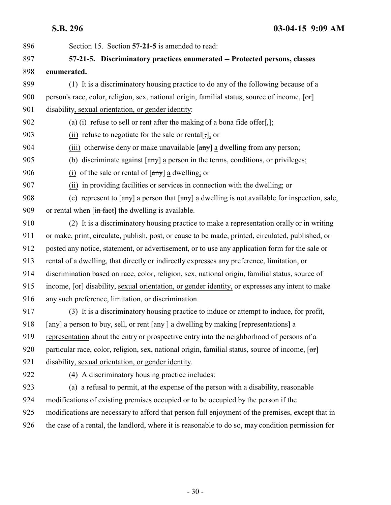<span id="page-29-0"></span> Section 15. Section **57-21-5** is amended to read: **57-21-5. Discriminatory practices enumerated -- Protected persons, classes enumerated.** (1) It is a discriminatory housing practice to do any of the following because of a 900 person's race, color, religion, sex, national origin, familial status, source of income, [or] disability, sexual orientation, or gender identity: 902 (a) (i) refuse to sell or rent after the making of a bona fide offer $[\cdot]$ ; (ii) refuse to negotiate for the sale or rental[,]; or 904 (iii) otherwise deny or make unavailable  $\left[\frac{\text{any}}{\text{any}}\right]$  a dwelling from any person; (b) discriminate against [any] a person in the terms, conditions, or privileges: 906 (i) of the sale or rental of  $\left[\frac{\text{any}}{\text{any}}\right]$  a dwelling; or (ii) in providing facilities or services in connection with the dwelling; or 908 (c) represent to  $\left[\frac{any}{2}\right]$  a person that  $\left[\frac{any}{2}\right]$  a dwelling is not available for inspection, sale, 909 or rental when  $\left[\frac{\text{in fact}}{\text{in fact}}\right]$  the dwelling is available. (2) It is a discriminatory housing practice to make a representation orally or in writing or make, print, circulate, publish, post, or cause to be made, printed, circulated, published, or posted any notice, statement, or advertisement, or to use any application form for the sale or rental of a dwelling, that directly or indirectly expresses any preference, limitation, or discrimination based on race, color, religion, sex, national origin, familial status, source of 915 income,  $\sigma$  disability, sexual orientation, or gender identity, or expresses any intent to make any such preference, limitation, or discrimination. (3) It is a discriminatory housing practice to induce or attempt to induce, for profit, 918 [any] a person to buy, sell, or rent  $\left[\frac{any}{n}\right]$  a dwelling by making  $\left[\frac{r}{n}\right]$  a  $\left[\frac{r}{n}\right]$  a and  $\left[\frac{r}{n}\right]$  and  $\left[\frac{r}{n}\right]$  and  $\left[\frac{r}{n}\right]$  and  $\left[\frac{r}{n}\right]$  and  $\left[\frac{r}{n}\right]$  and  $\left[\frac{r}{n}\right]$  and representation about the entry or prospective entry into the neighborhood of persons of a 920 particular race, color, religion, sex, national origin, familial status, source of income,  $\sigma$  disability, sexual orientation, or gender identity. (4) A discriminatory housing practice includes: (a) a refusal to permit, at the expense of the person with a disability, reasonable modifications of existing premises occupied or to be occupied by the person if the modifications are necessary to afford that person full enjoyment of the premises, except that in the case of a rental, the landlord, where it is reasonable to do so, may condition permission for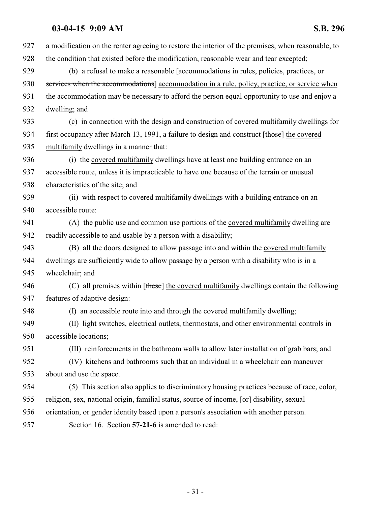<span id="page-30-0"></span> a modification on the renter agreeing to restore the interior of the premises, when reasonable, to the condition that existed before the modification, reasonable wear and tear excepted; (b) a refusal to make a reasonable [accommodations in rules, policies, practices, or 930 services when the accommodations accommodation in a rule, policy, practice, or service when the accommodation may be necessary to afford the person equal opportunity to use and enjoy a dwelling; and (c) in connection with the design and construction of covered multifamily dwellings for 934 first occupancy after March 13, 1991, a failure to design and construct [those] the covered multifamily dwellings in a manner that: (i) the covered multifamily dwellings have at least one building entrance on an accessible route, unless it is impracticable to have one because of the terrain or unusual characteristics of the site; and (ii) with respect to covered multifamily dwellings with a building entrance on an accessible route: (A) the public use and common use portions of the covered multifamily dwelling are readily accessible to and usable by a person with a disability; (B) all the doors designed to allow passage into and within the covered multifamily dwellings are sufficiently wide to allow passage by a person with a disability who is in a wheelchair; and 946 (C) all premises within  $[\frac{t \text{hese}}{t}]$  the covered multifamily dwellings contain the following features of adaptive design: (I) an accessible route into and through the covered multifamily dwelling; (II) light switches, electrical outlets, thermostats, and other environmental controls in accessible locations; (III) reinforcements in the bathroom walls to allow later installation of grab bars; and (IV) kitchens and bathrooms such that an individual in a wheelchair can maneuver about and use the space. (5) This section also applies to discriminatory housing practices because of race, color, religion, sex, national origin, familial status, source of income, [or] disability, sexual orientation, or gender identity based upon a person's association with another person. Section 16. Section **57-21-6** is amended to read: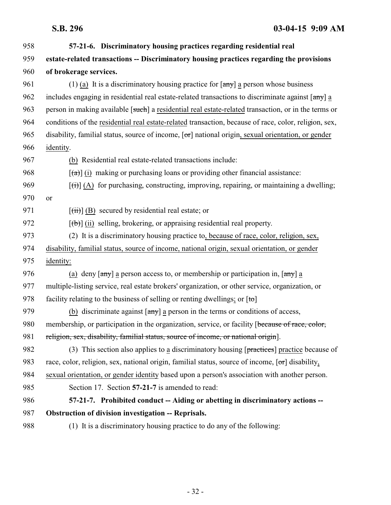<span id="page-31-0"></span>

| 958 | 57-21-6. Discriminatory housing practices regarding residential real                                                             |
|-----|----------------------------------------------------------------------------------------------------------------------------------|
| 959 | estate-related transactions -- Discriminatory housing practices regarding the provisions                                         |
| 960 | of brokerage services.                                                                                                           |
| 961 | (1) (a) It is a discriminatory housing practice for $\left[\frac{any}{n}\right]$ a person whose business                         |
| 962 | includes engaging in residential real estate-related transactions to discriminate against [any] a                                |
| 963 | person in making available [such] a residential real estate-related transaction, or in the terms or                              |
| 964 | conditions of the residential real estate-related transaction, because of race, color, religion, sex,                            |
| 965 | disability, familial status, source of income, $[\sigma\tau]$ national origin, sexual orientation, or gender                     |
| 966 | identity.                                                                                                                        |
| 967 | (b) Residential real estate-related transactions include:                                                                        |
| 968 | $\left[\frac{1}{2}\right]$ (i) making or purchasing loans or providing other financial assistance:                               |
| 969 | $[\vec{t})$ (A) for purchasing, constructing, improving, repairing, or maintaining a dwelling;                                   |
| 970 | <b>or</b>                                                                                                                        |
| 971 | $\left[\overrightarrow{iii}\right]$ (B) secured by residential real estate; or                                                   |
| 972 | $[\phi]$ (ii) selling, brokering, or appraising residential real property.                                                       |
| 973 | (2) It is a discriminatory housing practice to, because of race, color, religion, sex,                                           |
| 974 | disability, familial status, source of income, national origin, sexual orientation, or gender                                    |
| 975 | identity:                                                                                                                        |
| 976 | (a) deny $\lceil \frac{any}{any} \rceil$ a person access to, or membership or participation in, $\lceil \frac{any}{ay} \rceil$ a |
| 977 | multiple-listing service, real estate brokers' organization, or other service, organization, or                                  |
| 978 | facility relating to the business of selling or renting dwellings; or $[to]$                                                     |
| 979 | (b) discriminate against $\lceil \frac{any}{n} \rceil$ a person in the terms or conditions of access,                            |
| 980 | membership, or participation in the organization, service, or facility [because of race, color,                                  |
| 981 | religion, sex, disability, familial status, source of income, or national origin].                                               |
| 982 | (3) This section also applies to a discriminatory housing [practices] practice because of                                        |
| 983 | race, color, religion, sex, national origin, familial status, source of income, $[\sigma r]$ disability,                         |
| 984 | sexual orientation, or gender identity based upon a person's association with another person.                                    |
| 985 | Section 17. Section 57-21-7 is amended to read:                                                                                  |
| 986 | 57-21-7. Prohibited conduct -- Aiding or abetting in discriminatory actions --                                                   |
| 987 | <b>Obstruction of division investigation -- Reprisals.</b>                                                                       |
| 988 | (1) It is a discriminatory housing practice to do any of the following:                                                          |
|     |                                                                                                                                  |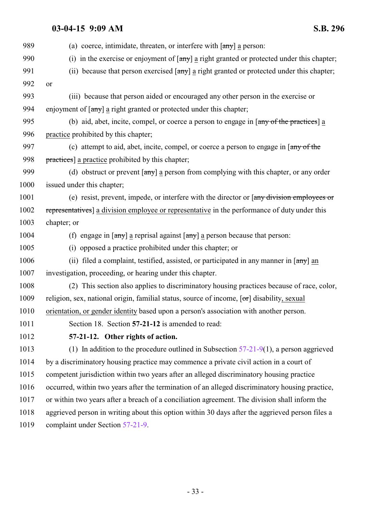<span id="page-32-0"></span>

| 989  | (a) coerce, intimidate, threaten, or interfere with $\left[\frac{any}{any}\right]$ a person:                                     |
|------|----------------------------------------------------------------------------------------------------------------------------------|
| 990  | in the exercise or enjoyment of $[\frac{any}{n}]$ a right granted or protected under this chapter;<br>(i)                        |
| 991  | (ii) because that person exercised [any] a right granted or protected under this chapter;                                        |
| 992  | or                                                                                                                               |
| 993  | (iii) because that person aided or encouraged any other person in the exercise or                                                |
| 994  | enjoyment of $\lceil \frac{any}{n} \rceil$ a right granted or protected under this chapter;                                      |
| 995  | (b) aid, abet, incite, compel, or coerce a person to engage in $\left[\frac{any \space of \space the \space practices}\right]$ a |
| 996  | practice prohibited by this chapter;                                                                                             |
| 997  | (c) attempt to aid, abet, incite, compel, or coerce a person to engage in [any of the                                            |
| 998  | practices] a practice prohibited by this chapter;                                                                                |
| 999  | (d) obstruct or prevent $[\frac{any}{n}]$ a person from complying with this chapter, or any order                                |
| 1000 | issued under this chapter;                                                                                                       |
| 1001 | (e) resist, prevent, impede, or interfere with the director or [any division employees or                                        |
| 1002 | representatives] a division employee or representative in the performance of duty under this                                     |
| 1003 | chapter; or                                                                                                                      |
| 1004 | (f) engage in $\lceil \frac{any}{n} \rceil$ a reprisal against $\lceil \frac{any}{n} \rceil$ a person because that person:       |
| 1005 | (i) opposed a practice prohibited under this chapter; or                                                                         |
| 1006 | (ii) filed a complaint, testified, assisted, or participated in any manner in $\lceil \frac{any}{ } \rceil$ an                   |
| 1007 | investigation, proceeding, or hearing under this chapter.                                                                        |
| 1008 | (2) This section also applies to discriminatory housing practices because of race, color,                                        |
| 1009 | religion, sex, national origin, familial status, source of income, $[\sigma r]$ disability, sexual                               |
| 1010 | orientation, or gender identity based upon a person's association with another person.                                           |
| 1011 | Section 18. Section 57-21-12 is amended to read:                                                                                 |
| 1012 | 57-21-12. Other rights of action.                                                                                                |
| 1013 | (1) In addition to the procedure outlined in Subsection $57-21-9(1)$ , a person aggrieved                                        |
| 1014 | by a discriminatory housing practice may commence a private civil action in a court of                                           |
| 1015 | competent jurisdiction within two years after an alleged discriminatory housing practice                                         |
| 1016 | occurred, within two years after the termination of an alleged discriminatory housing practice,                                  |
| 1017 | or within two years after a breach of a conciliation agreement. The division shall inform the                                    |
| 1018 | aggrieved person in writing about this option within 30 days after the aggrieved person files a                                  |
| 1019 | complaint under Section 57-21-9.                                                                                                 |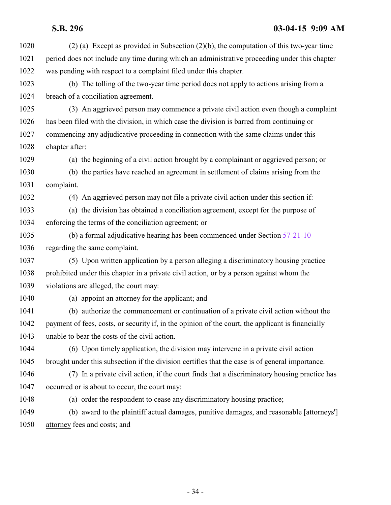(2) (a) Except as provided in Subsection (2)(b), the computation of this two-year time period does not include any time during which an administrative proceeding under this chapter was pending with respect to a complaint filed under this chapter. (b) The tolling of the two-year time period does not apply to actions arising from a breach of a conciliation agreement.

 (3) An aggrieved person may commence a private civil action even though a complaint has been filed with the division, in which case the division is barred from continuing or commencing any adjudicative proceeding in connection with the same claims under this chapter after:

(a) the beginning of a civil action brought by a complainant or aggrieved person; or

 (b) the parties have reached an agreement in settlement of claims arising from the complaint.

(4) An aggrieved person may not file a private civil action under this section if:

 (a) the division has obtained a conciliation agreement, except for the purpose of enforcing the terms of the conciliation agreement; or

 (b) a formal adjudicative hearing has been commenced under Section [57-21-10](http://le.utah.gov/UtahCode/SectionLookup.jsp?section=57-21-10&session=2015GS) regarding the same complaint.

 (5) Upon written application by a person alleging a discriminatory housing practice prohibited under this chapter in a private civil action, or by a person against whom the violations are alleged, the court may:

(a) appoint an attorney for the applicant; and

 (b) authorize the commencement or continuation of a private civil action without the payment of fees, costs, or security if, in the opinion of the court, the applicant is financially unable to bear the costs of the civil action.

 (6) Upon timely application, the division may intervene in a private civil action brought under this subsection if the division certifies that the case is of general importance.

 (7) In a private civil action, if the court finds that a discriminatory housing practice has 1047 occurred or is about to occur, the court may:

(a) order the respondent to cease any discriminatory housing practice;

1049 (b) award to the plaintiff actual damages, punitive damages, and reasonable [attorneys'] attorney fees and costs; and